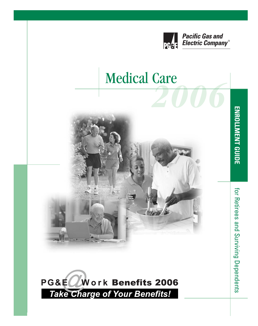

## **Medical Care**



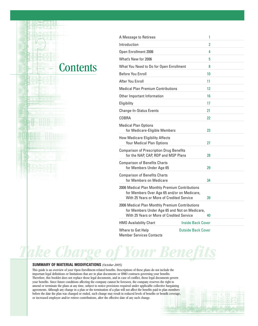### **Contents**

| A Message to Retirees                                                                                                                         |                           | 1  |
|-----------------------------------------------------------------------------------------------------------------------------------------------|---------------------------|----|
| Introduction                                                                                                                                  |                           | 2  |
| Open Enrollment 2006                                                                                                                          |                           | 4  |
| What's New for 2006                                                                                                                           |                           | 5  |
| What You Need to Do for Open Enrollment                                                                                                       |                           | 8  |
| <b>Before You Enroll</b>                                                                                                                      |                           | 10 |
| After You Enroll                                                                                                                              |                           | 11 |
| <b>Medical Plan Premium Contributions</b>                                                                                                     |                           | 12 |
| Other Important Information                                                                                                                   |                           | 16 |
| Eligibility                                                                                                                                   |                           | 17 |
| <b>Change-In-Status Events</b>                                                                                                                |                           | 21 |
| COBRA                                                                                                                                         |                           | 22 |
| <b>Medical Plan Options</b><br>for Medicare-Eligible Members                                                                                  |                           | 23 |
| <b>How Medicare Eligibility Affects</b><br><b>Your Medical Plan Options</b>                                                                   |                           | 27 |
| <b>Comparison of Prescription Drug Benefits</b><br>for the NAP, CAP, ROP and MSP Plans                                                        |                           | 28 |
| <b>Comparison of Benefits Charts</b><br>for Members Under Age 65                                                                              |                           | 29 |
| <b>Comparison of Benefits Charts</b><br>for Members on Medicare                                                                               |                           | 34 |
| 2006 Medical Plan Monthly Premium Contributions<br>for Members Over Age 65 and/or on Medicare,<br>With 25 Years or More of Credited Service   |                           | 39 |
| 2006 Medical Plan Monthly Premium Contributions<br>for Members Under Age 65 and Not on Medicare,<br>With 25 Years or More of Credited Service |                           | 40 |
| <b>HMO Availability Chart</b>                                                                                                                 | <b>Inside Back Cover</b>  |    |
| Where to Get Help<br><b>Member Services Contacts</b>                                                                                          | <b>Outside Back Cover</b> |    |

*Take Charge of Your Benefits*

#### **SUMMARY OF MATERIAL MODIFICATIONS** *(October 2005)*

This guide is an overview of your Open Enrollment-related benefits. Descriptions of these plans do not include the important legal definitions or limitations that are in plan documents or HMO contracts governing your benefits. Therefore, this booklet does not replace those legal documents, and in case of conflict, those legal documents govern your benefits. Since future conditions affecting the company cannot be foreseen, the company reserves the right to amend or terminate the plans at any time, subject to notice provisions required under applicable collective bargaining agreements. Although any change in a plan or the termination of a plan will not affect the benefits paid to plan members before the date the plan was changed or ended, such change may result in reduced levels of benefits or benefit coverage, or increased employee and/or retiree contributions, after the effective date of any such change.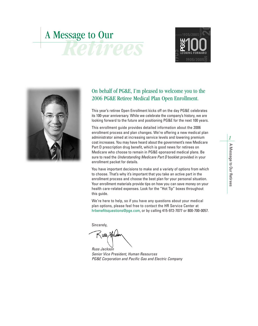# *Retirees* A Message to Our





#### On behalf of PG&E, I'm pleased to welcome you to the 2006 PG&E Retiree Medical Plan Open Enrollment.

This year's retiree Open Enrollment kicks off on the day PG&E celebrates its 100-year anniversary. While we celebrate the company's history, we are looking forward to the future and positioning PG&E for the next 100 years.

This enrollment guide provides detailed information about the 2006 enrollment process and plan changes. We're offering a new medical plan administrator aimed at increasing service levels and lowering premium cost increases. You may have heard about the government's new Medicare Part D prescription drug benefit, which is good news for retirees on Medicare who choose to remain in PG&E-sponsored medical plans. Be sure to read the *Understanding Medicare Part D* booklet provided in your enrollment packet for details.

You have important decisions to make and a variety of options from which to choose. That's why it's important that you take an active part in the enrollment process and choose the best plan for your personal situation. Your enrollment materials provide tips on how you can save money on your health care-related expenses. Look for the "Hot Tip" boxes throughout this guide.

We're here to help, so if you have any questions about your medical plan options, please feel free to contact the HR Service Center at hrbenefitsquestions@pge.com, or by calling 415-972-7077 or 800-700-0057.

Sincerely,

*Russ Jackson*

*Senior Vice President, Human Resources PG&E Corporation and Pacific Gas and Electric Company*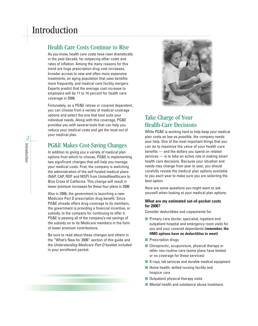#### Health Care Costs Continue to Rise

As you know, health care costs have risen dramatically in the past decade, far outpacing other costs and rates of inflation. Among the many reasons for this trend are huge prescription drug cost increases, broader access to new and often more expensive treatments, an aging population that uses benefits more frequently, and medical care facility mergers. Experts predict that the average cost increase to employers will be 11 to 14 percent for health care coverage in 2006.

Fortunately, as a PG&E retiree or covered dependent, you can choose from a variety of medical coverage options and select the one that best suits your individual needs. Along with this coverage, PG&E provides you with several tools that can help you reduce your medical costs and get the most out of your medical plan.

#### PG&E Makes Cost-Saving Changes

In addition to giving you a variety of medical plan options from which to choose, PG&E is implementing two significant changes that will help you manage your medical costs. First, the company is switching the administration of the self-funded medical plans (NAP, CAP, ROP and MSP) from UnitedHealthcare to Blue Cross of California. This change will result in lower premium increases for these four plans in 2006.

Also in 2006, the government is launching a new Medicare Part D prescription drug benefit. Since PG&E already offers drug coverage to its members, the government is providing a financial incentive, or subsidy, to the company for continuing to offer it. PG&E is passing all of the company's net savings of the subsidy on to its Medicare members in the form of lower premium contributions.

Be sure to read about these changes and others in the "What's New for 2006" section of this guide and the *Understanding Medicare Part D* booklet included in your enrollment packet.



#### Take Charge of Your Health-Care Decisions

While PG&E is working hard to help keep your medical plan costs as low as possible, the company needs your help. One of the most important things that you can do to maximize the value of your health care benefits — and the dollars you spend on related services — is to take an active role in making smart health care decisions. Because your situation and needs may change from year to year, you should carefully review the medical plan options available to you each year to make sure you are selecting the best option.

Here are some questions you might want to ask yourself when looking at your medical plan options:

#### **What are my estimated out-of-pocket costs for 2006?**

Consider deductibles and copayments for:

- Primary care doctor, specialist, inpatient and outpatient hospital and emergency room visits for you and your covered dependents **(remember, the HMO options have no deductibles to meet)**
- Prescription drugs
- Chiropractic, acupuncture, physical therapy or other non-routine care (some plans have limited or no coverage for these services)
- X-rays, lab services and durable medical equipment
- Home health, skilled nursing facility and hospice care
- Outpatient physical therapy visits
- Mental health and substance abuse treatment.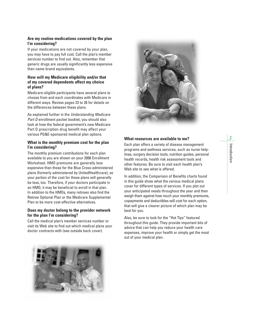#### **Are my routine medications covered by the plan I'm considering?**

If your medications are not covered by your plan, you may have to pay full cost. Call the plan's member services number to find out. Also, remember that generic drugs are usually significantly less expensive than name-brand equivalents.

#### **How will my Medicare eligibility and/or that of my covered dependents affect my choice of plans?**

Medicare-eligible participants have several plans to choose from and each coordinates with Medicare in different ways. Review pages 23 to 26 for details on the differences between these plans.

As explained further in the *Understanding Medicare Part D* enrollment packet booklet, you should also look at how the federal government's new Medicare Part D prescription drug benefit may affect your various PG&E-sponsored medical plan options.

#### **What is the monthly premium cost for the plan I'm considering?**

The monthly premium contributions for each plan available to you are shown on your 2006 Enrollment Worksheet. HMO premiums are generally less expensive than those for the Blue Cross-administered plans (formerly administered by UnitedHealthcare), so your portion of the cost for these plans will generally be less, too. Therefore, if your doctors participate in an HMO, it may be beneficial to enroll in that plan. In addition to the HMOs, many retirees also find the Retiree Optional Plan or the Medicare Supplemental Plan to be more cost-effective alternatives.

#### **Does my doctor belong to the provider network for the plan I'm considering?**

Call the medical plan's member services number or visit its Web site to find out which medical plans your doctor contracts with (see outside back cover).



#### **What resources are available to me?**

Each plan offers a variety of disease management programs and wellness services, such as nurse helplines, surgery decision tools, nutrition guides, personal health records, health risk assessment tools and other features. Be sure to visit each health plan's Web site to see what is offered.

In addition, the Comparison of Benefits charts found in this guide show what the various medical plans cover for different types of services. If you plot out your anticipated needs throughout the year and then weigh them against how much your monthly premiums, copayments and deductibles will cost for each option, that will give a clearer picture of which plan may be best for you.

Also, be sure to look for the "Hot Tips" featured throughout this guide. They provide important bits of advice that can help you reduce your health care expenses, improve your health or simply get the most out of your medical plan.

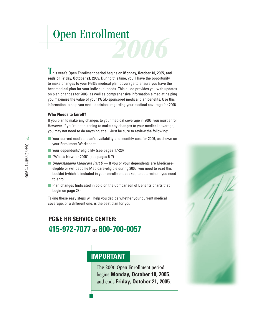## *2006* Open Enrollment

**L** his year's Open Enrollment period begins on **Monday, October 10, 2005, and ends on Friday, October 21, 2005**. During this time, you'll have the opportunity to make changes to your PG&E medical plan coverage to ensure you have the best medical plan for your individual needs. This guide provides you with updates on plan changes for 2006, as well as comprehensive information aimed at helping you maximize the value of your PG&E-sponsored medical plan benefits. Use this information to help you make decisions regarding your medical coverage for 2006.

#### **Who Needs to Enroll?**

If you plan to make **any** changes to your medical coverage in 2006, you must enroll. However, if you're not planning to make any changes to your medical coverage, you may not need to do anything at all. Just be sure to review the following:

- Your current medical plan's availability and monthly cost for 2006, as shown on your Enrollment Worksheet
- Your dependents' eligibility (see pages 17-20)
- "What's New for 2006" (see pages 5-7)
- *Understanding Medicare Part D* If you or your dependents are Medicareeligible or will become Medicare-eligible during 2006, you need to read this booklet (which is included in your enrollment packet) to determine if you need to enroll.
- Plan changes (indicated in bold on the Comparison of Benefits charts that begin on page 28)

Taking these easy steps will help you decide whether your current medical coverage, or a different one, is the best plan for you!

### **PG&E HR SERVICE CENTER: 415-972-7077 or 800-700-0057**

#### **IMPORTANT**

The 2006 Open Enrollment period begins **Monday, October 10, 2005**, and ends **Friday, October 21, 2005**.

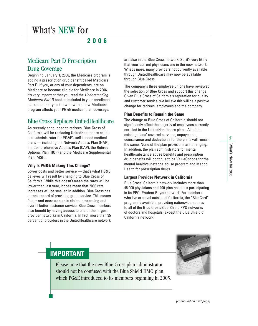#### **2006**

#### Medicare Part D Prescription Drug Coverage

Beginning January 1, 2006, the Medicare program is adding a prescription drug benefit called Medicare Part D. If you, or any of your dependents, are on Medicare or become eligible for Medicare in 2006, it's very important that you read the *Understanding Medicare Part D* booklet included in your enrollment packet so that you know how this new Medicare program affects your PG&E medical plan coverage.

#### Blue Cross Replaces UnitedHealthcare

As recently announced to retirees, Blue Cross of California will be replacing UnitedHealthcare as the plan administrator for PG&E's self-funded medical plans — including the Network Access Plan (NAP), the Comprehensive Access Plan (CAP), the Retiree Optional Plan (ROP) and the Medicare Supplemental Plan (MSP).

#### **Why Is PG&E Making This Change?**

Lower costs and better service — that's what PG&E believes will result by changing to Blue Cross of California. While this doesn't mean the rates will be lower than last year, it does mean that 2006 rate increases will be smaller. In addition, Blue Cross has a track record of providing great service. This means faster and more accurate claims processing and overall better customer service. Blue Cross members also benefit by having access to one of the largest provider networks in California. In fact, more than 95 percent of providers in the UnitedHealthcare network

are also in the Blue Cross network. So, it's very likely that your current physicians are in the new network. What's more, many providers not currently available through UnitedHealthcare may now be available through Blue Cross.

The company's three employee unions have reviewed the selection of Blue Cross and support this change. Given Blue Cross of California's reputation for quality and customer service, we believe this will be a positive change for retirees, employees and the company.

#### **Plan Benefits to Remain the Same**

The change to Blue Cross of California should not significantly affect the majority of employees currently enrolled in the UnitedHealthcare plans. All of the existing plans' covered services, copayments, coinsurance and deductibles for the plans will remain the same. None of the plan provisions are changing. In addition, the plan administrators for mental health/substance abuse benefits and prescription drug benefits will continue to be ValueOptions for the mental health/substance abuse program and Medco Health for prescription drugs.

#### **Largest Provider Network in California**

Blue Cross' California network includes more than 45,000 physicians and 400-plus hospitals participating in its PPO (Prudent Buyer) network. For members who live or travel outside of California, the "BlueCard" program is available, providing nationwide access to all of the Blue Cross/Blue Shield PPO networks of doctors and hospitals (except the Blue Shield of California network).

#### **IMPORTANT**

Please note that the new Blue Cross plan administrator should not be confused with the Blue Shield HMO plan, which PG&E introduced to its members beginning in 2005.



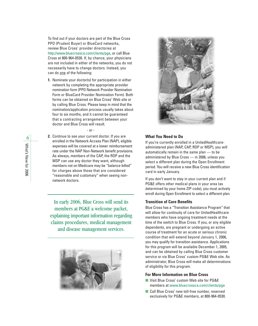To find out if your doctors are part of the Blue Cross PPO (Prudent Buyer) or BlueCard networks, review Blue Cross' provider directories at http://www.bluecrossca.com/clients/pge, or call Blue Cross at 800-964-0530. If, by chance, your physicians are not included in either of the networks, you do not necessarily have to change doctors. Instead, you can do one of the following:

**1.** Nominate your doctor(s) for participation in either network by completing the appropriate provider nomination form (PPO Network Provider Nomination Form or BlueCard Provider Nomination Form). Both forms can be obtained on Blue Cross' Web site or by calling Blue Cross. Please keep in mind that the nomination/application process usually takes about four to six months, and it cannot be guaranteed that a contracting arrangement between your doctor and Blue Cross will result.

- or -

**2.** Continue to see your current doctor. If you are enrolled in the Network Access Plan (NAP), eligible expenses will be covered at a lower reimbursement rate under the NAP Non-Network benefit provisions. As always, members of the CAP, the ROP and the MSP can use any doctor they want, although members not on Medicare may be "balance-billed" for charges above those that are considered "reasonable and customary" when seeing nonnetwork doctors.

In early 2006, Blue Cross will send its members at PG&E a welcome packet, explaining important information regarding claims procedures, medical management and disease management services.





#### **What You Need to Do**

If you're currently enrolled in a UnitedHealthcareadministered plan (NAP, CAP, ROP or MSP), you will automatically remain in the same plan — to be administered by Blue Cross — in 2006, unless you select a different plan during the Open Enrollment period. You will receive a new Blue Cross identification card in early January.

If you don't want to stay in your current plan and if PG&E offers other medical plans in your area (as determined by your home ZIP code), you must actively enroll during Open Enrollment to select a different plan.

#### **Transition of Care Benefits**

Blue Cross has a "Transition Assistance Program" that will allow for continuity of care for UnitedHealthcare members who have ongoing treatment needs at the time of the switch to Blue Cross. If you, or any eligible dependents, are pregnant or undergoing an active course of treatment for an acute or serious chronic condition that will extend beyond January 1, 2006, you may qualify for transition assistance. Applications for this program will be available December 1, 2005, and can be obtained by calling Blue Cross customer service or via Blue Cross' custom PG&E Web site. As administrator, Blue Cross will make all determinations of eligibility for this program.

#### **For More Information on Blue Cross**

- Visit Blue Cross' custom Web site for PG&E members at www.bluecrossca.com/clients/pge
- Call Blue Cross' new toll-free number, reserved exclusively for PG&E members, at 800-964-0530.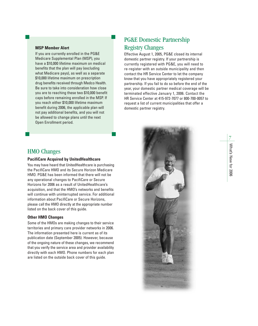#### **MSP Member Alert**

If you are currently enrolled in the PG&E Medicare Supplemental Plan (MSP), you have a \$10,000 lifetime maximum on medical benefits that the plan will pay (excluding what Medicare pays), as well as a separate \$10,000 lifetime maximum on prescription drug benefits received through Medco Health. Be sure to take into consideration how close you are to reaching these two \$10,000 benefit caps before remaining enrolled in the MSP. If you reach either \$10,000 lifetime maximum benefit during 2006, the applicable plan will not pay additional benefits, and you will not be allowed to change plans until the next Open Enrollment period.

#### HMO Changes

#### **PacifiCare Acquired by UnitedHealthcare**

You may have heard that UnitedHealthcare is purchasing the PacifiCare HMO and its Secure Horizon Medicare HMO. PG&E has been informed that there will not be any operational changes to PacifiCare or Secure Horizons for 2006 as a result of UnitedHealthcare's acquisition, and that the HMO's networks and benefits will continue with uninterrupted service. For additional information about PacifiCare or Secure Horizons, please call the HMO directly at the appropriate number listed on the back cover of this guide.

#### **Other HMO Changes**

Some of the HMOs are making changes to their service territories and primary care provider networks in 2006. The information presented here is current as of its publication date (September 2005). However, because of the ongoing nature of these changes, we recommend that you verify the service area and provider availability directly with each HMO. Phone numbers for each plan are listed on the outside back cover of this guide.

#### PG&E Domestic Partnership Registry Changes

Effective August 1, 2005, PG&E closed its internal domestic partner registry. If your partnership is currently registered with PG&E, you will need to re-register with an outside municipality and then contact the HR Service Center to let the company know that you have appropriately registered your partnership. If you fail to do so before the end of the year, your domestic partner medical coverage will be terminated effective January 1, 2006. Contact the HR Service Center at 415-972-7077 or 800-700-0057 to request a list of current municipalities that offer a domestic partner registry.

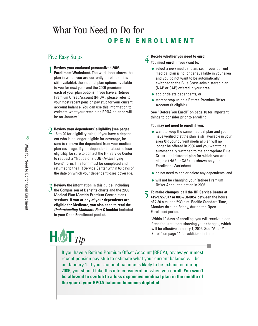### What You Need to Do for **OPEN ENROLLMENT**

#### Five Easy Steps

**Review your enclosed personalized 2006** 1

**Enrollment Worksheet.** The worksheet shows the plan in which you are currently enrolled (if it is still available), the medical plan options available to you for next year and the 2006 premiums for each of your plan options. If you have a Retiree Premium Offset Account (RPOA), please refer to your most recent pension pay stub for your current account balance. You can use this information to estimate what your remaining RPOA balance will be on January 1.

**Review your dependents' eligibility** (see pages  $2$  Review your dependents' eligibility (see pages<br> $2$  18 to 20 for eligibility rules). If you have a dependent who is no longer eligible for coverage, be sure to remove the dependent from your medical plan coverage. If your dependent is about to lose eligibility, be sure to contact the HR Service Center to request a "Notice of a COBRA-Qualifying Event" form. This form must be completed and returned to the HR Service Center within 60 days of the date on which your dependent loses coverage.

**Review the information in this guide,** including 3 Review the information in this guide, including<br>3 the Comparison of Benefits charts and the 2006 Medical Plan Monthly Premium Contributions sections. **If you or any of your dependents are eligible for Medicare, you also need to read the** *Understanding Medicare Part D* **booklet included in your Open Enrollment packet.**

#### **Decide whether you need to enroll:** 4

You **must enroll** if you want to:

- select a new medical plan, i.e., if your current medical plan is no longer available in your area and you do not want to be automatically switched to the Blue Cross-administered plan (NAP or CAP) offered in your area
- add or delete dependents, or
- start or stop using a Retiree Premium Offset Account (if eligible).

See "Before You Enroll" on page 10 for important things to consider prior to enrolling.

#### You **may not need to enroll** if you:

- want to keep the same medical plan and you have verified that the plan is still available in your area **OR** your current medical plan will no longer be offered in 2006 and you want to be automatically switched to the appropriate Blue Cross-administered plan for which you are eligible (NAP or CAP), as shown on your Enrollment Worksheet
- do not need to add or delete any dependents, and
- will not be changing your Retiree Premium Offset Account election in 2006.

5 **To make changes, call the HR Service Center at 415-972-7077 or 800-700-0057** between the hours of 7:30 a.m. and 5:30 p.m. Pacific Standard Time, Monday through Friday, during the Open Enrollment period.

Within 10 days of enrolling, you will receive a confirmation statement showing your changes, which will be effective January 1, 2006. See "After You Enroll" on page 11 for additional information.

a s

If you have a Retiree Premium Offset Account (RPOA), review your most recent pension pay stub to estimate what your current balance will be on January 1. If your account balance is likely to be exhausted during 2006, you should take this into consideration when you enroll. **You won't be allowed to switch to a less expensive medical plan in the middle of the year if your RPOA balance becomes depleted.**

 $HQT_{Tip}$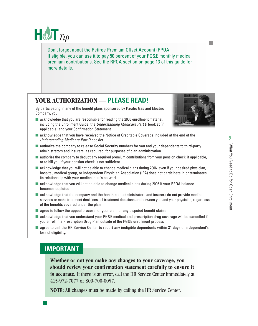

Don't forget about the Retiree Premium Offset Account (RPOA). If eligible, you can use it to pay 50 percent of your PG&E monthly medical premium contributions. See the RPOA section on page 13 of this guide for more details.

#### **YOUR AUTHORIZATION — PLEASE READ!**

By participating in any of the benefit plans sponsored by Pacific Gas and Electric Company, you:

■ acknowledge that you are responsible for reading the 2006 enrollment material, including the Enrollment Guide, the *Understanding Medicare Part D* booklet (if applicable) and your Confirmation Statement



- acknowledge that you have received the Notice of Creditable Coverage included at the end of the *Understanding Medicare Part D* booklet
- authorize the company to release Social Security numbers for you and your dependents to third-party administrators and insurers, as required, for purposes of plan administration
- authorize the company to deduct any required premium contributions from your pension check, if applicable, or to bill you if your pension check is not sufficient
- acknowledge that you will not be able to change medical plans during 2006, even if your desired physician, hospital, medical group, or Independent Physician Association (IPA) does not participate in or terminates its relationship with your medical plan's network
- acknowledge that you will not be able to change medical plans during 2006 if your RPOA balance becomes depleted
- acknowledge that the company and the health plan administrators and insurers do not provide medical services or make treatment decisions; all treatment decisions are between you and your physician, regardless of the benefits covered under the plan
- $\blacksquare$  agree to follow the appeal process for your plan for any disputed benefit claims
- acknowledge that you understand your PG&E medical and prescription drug coverage will be cancelled if you enroll in a Prescription Drug Plan outside of the PG&E enrollment process
- agree to call the HR Service Center to report any ineligible dependents within 31 days of a dependent's loss of eligibility.

#### **IMPORTANT**

**Whether or not you make any changes to your coverage, you should review your confirmation statement carefully to ensure it is accurate.** If there is an error, call the HR Service Center immediately at 415-972-7077 or 800-700-0057.

**NOTE:** All changes must be made by calling the HR Service Center.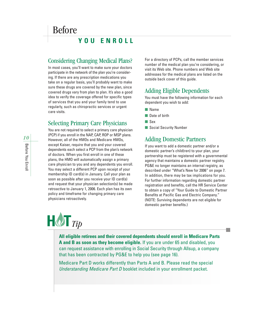### Before **YOU ENROLL**

#### Considering Changing Medical Plans?

In most cases, you'll want to make sure your doctors participate in the network of the plan you're considering. If there are any prescription medications you take on a regular basis, you'll probably want to make sure these drugs are covered by the new plan, since covered drugs vary from plan to plan. It's also a good idea to verify the coverage offered for specific types of services that you and your family tend to use regularly, such as chiropractic services or urgent care visits.

#### Selecting Primary Care Physicians

You are not required to select a primary care physician (PCP) if you enroll in the NAP, CAP, ROP or MSP plans. However, all of the HMOs and Medicare HMOs, except Kaiser, require that you and your covered dependents each select a PCP from the plan's network of doctors. When you first enroll in one of these plans, the HMO will automatically assign a primary care physician to you and any dependents you enroll. You may select a different PCP upon receipt of your membership ID card(s) in January. Call your plan as soon as possible after you receive your ID card(s) and request that your physician selection(s) be made retroactive to January 1, 2006. Each plan has its own policy and timeframe for changing primary care physicians retroactively.

For a directory of PCPs, call the member services number of the medical plan you're considering, or visit its Web site. Phone numbers and Web site addresses for the medical plans are listed on the outside back cover of this guide.

#### Adding Eligible Dependents

You must have the following information for each dependent you wish to add:

- Name
- Date of birth
- Sex
- Social Security Number

#### Adding Domestic Partners

If you want to add a domestic partner and/or a domestic partner's child(ren) to your plan, your partnership must be registered with a governmental agency that maintains a domestic partner registry. PG&E no longer maintains an internal registry, as described under "What's New for 2006" on page 7. In addition, there may be tax implications for you. For further information regarding domestic partner registration and benefits, call the HR Service Center to obtain a copy of "Your Guide to Domestic Partner Benefits at Pacific Gas and Electric Company." (NOTE: Surviving dependents are not eligible for domestic partner benefits.)



**All eligible retirees and their covered dependents should enroll in Medicare Parts A and B as soon as they become eligible.** If you are under 65 and disabled, you can request assistance with enrolling in Social Security through Allsup, a company that has been contracted by PG&E to help you (see page 16).

Medicare Part D works differently than Parts A and B. Please read the special *Understanding Medicare Part D* booklet included in your enrollment packet.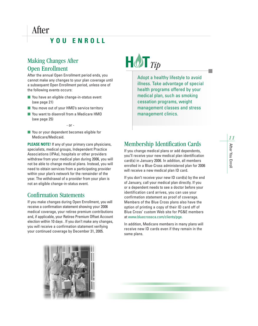#### Making Changes After Open Enrollment

After the annual Open Enrollment period ends, you cannot make any changes to your plan coverage until a subsequent Open Enrollment period, unless one of the following events occurs:

- You have an eligible change-in-status event (see page 21)
- You move out of your HMO's service territory
- You want to disenroll from a Medicare HMO (see page 25)
	- or -
- You or your dependent becomes eligible for Medicare/Medicaid.

**PLEASE NOTE!** If any of your primary care physicians, specialists, medical groups, Independent Practice Associations (IPAs), hospitals or other providers withdraw from your medical plan during 2006, you will not be able to change medical plans. Instead, you will need to obtain services from a participating provider within your plan's network for the remainder of the year. The withdrawal of a provider from your plan is not an eligible change-in-status event.

#### Confirmation Statements

If you make changes during Open Enrollment, you will receive a confirmation statement showing your 2006 medical coverage, your retiree premium contributions and, if applicable, your Retiree Premium Offset Account election within 10 days . If you don't make any changes, you will receive a confirmation statement verifying your continued coverage by December 31, 2005.



| <b>Contract Contract Contract Contract Contract Contract Contract Contract Contract Contract Contract Contract Co</b> | $\blacksquare$<br>$\bm{D}$ |
|-----------------------------------------------------------------------------------------------------------------------|----------------------------|

Adopt a healthy lifestyle to avoid illness. Take advantage of special health programs offered by your medical plan, such as smoking cessation programs, weight management classes and stress management clinics.

#### Membership Identification Cards

If you change medical plans or add dependents, you'll receive your new medical plan identification card(s) in January 2006. In addition, all members enrolled in a Blue-Cross administered plan for 2006 will receive a new medical plan ID card.

If you don't receive your new ID card(s) by the end of January, call your medical plan directly. If you or a dependent needs to see a doctor before your identification card arrives, you can use your confirmation statement as proof of coverage. Members of the Blue Cross plans also have the option of printing a copy of their ID card off of Blue Cross' custom Web site for PG&E members at www.bluecrossca.com/clients/pge.

In addition, Medicare members in many plans will receive new ID cards even if they remain in the same plans.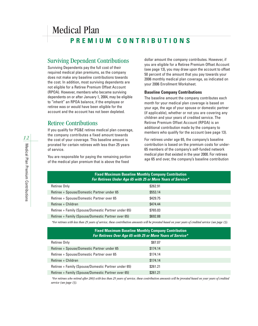### Medical Plan **PREMIUM CONTRIBUTIONS**

#### Surviving Dependent Contributions

Surviving Dependents pay the full cost of their required medical plan premiums, as the company does not make any baseline contributions towards the cost. In addition, most surviving dependents are not eligible for a Retiree Premium Offset Account (RPOA). However, members who became surviving dependents on or after January 1, 2004, may be eligible to "inherit" an RPOA balance, if the employee or retiree was or would have been eligible for the account and the account has not been depleted.

#### Retiree Contributions

If you qualify for PG&E retiree medical plan coverage, the company contributes a fixed amount towards the cost of your coverage. This baseline amount is prorated for certain retirees with less than 25 years of service.

You are responsible for paying the remaining portion of the medical plan premium that is above the fixed

dollar amount the company contributes. However, if you are eligible for a Retiree Premium Offset Account (see page 13), you may draw upon the account to offset 50 percent of the amount that you pay towards your 2006 monthly medical plan coverage, as indicated on your 2006 Enrollment Worksheet.

#### **Baseline Company Contributions**

The baseline amount the company contributes each month for your medical plan coverage is based on your age, the age of your spouse or domestic partner (if applicable), whether or not you are covering any children and your years of credited service. The Retiree Premium Offset Account (RPOA) is an additional contribution made by the company to members who qualify for the account (see page 13).

For retirees under age 65, the company's baseline contribution is based on the premium costs for under-65 members of the company's self-funded network medical plan that existed in the year 2000. For retirees age 65 and over, the company's baseline contribution

#### **Fixed Maximum Baseline Monthly Company Contribution** *For Retirees Under Age 65 with 25 or More Years of Service\**

| \$262.91 |
|----------|
| \$553.14 |
| \$429.75 |
| \$474.44 |
| \$765.03 |
| \$692.88 |
|          |

*\*For retirees with less than 25 years of service, these contribution amounts will be prorated based on your years of credited service (see page 13).*

#### **Fixed Maximum Baseline Monthly Company Contribution** *For Retirees Over Age 65 with 25 or More Years of Service\**

| Retiree Only                                        | \$87.07  |
|-----------------------------------------------------|----------|
| Retiree + Spouse/Domestic Partner under 65          | \$174.14 |
| Retiree + Spouse/Domestic Partner over 65           | \$174.14 |
| Retiree + Children                                  | \$174.14 |
| Retiree + Family (Spouse/Domestic Partner under 65) | \$261.21 |
| Retiree + Family (Spouse/Domestic Partner over 65)  | \$261.21 |

*\*For retirees who retired after 2003 with less than 25 years of service, these contribution amounts will be prorated based on your years of credited service (see page 13).*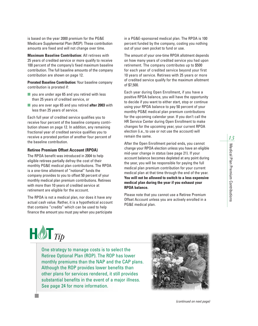is based on the year 2000 premium for the PG&E Medicare Supplemental Plan (MSP). These contribution amounts are fixed and will not change over time.

**Maximum Baseline Contribution:** All retirees with 25 years of credited service or more qualify to receive 100 percent of the company's fixed maximum baseline contribution. The full baseline amounts of the company contribution are shown on page 12.

**Prorated Baseline Contribution:** Your baseline company contribution is prorated if:

- you are under age 65 and you retired with less than 25 years of credited service, or
- you are over age 65 and you retired **after 2003** with less than 25 years of service.

Each full year of credited service qualifies you to receive four percent of the baseline company contribution shown on page 12. In addition, any remaining fractional year of credited service qualifies you to receive a prorated portion of another four percent of the baseline contribution.

#### **Retiree Premium Offset Account (RPOA)**

The RPOA benefit was introduced in 2004 to help eligible retirees partially defray the cost of their monthly PG&E medical plan contributions. The RPOA is a one-time allotment of "notional" funds the company provides to you to offset 50 percent of your monthly medical plan premium contributions. Retirees with more than 10 years of credited service at retirement are eligible for the account.

The RPOA is not a medical plan, nor does it have any actual cash value. Rather, it is a hypothetical account that contains "credits" which can be used to help finance the amount you must pay when you participate

in a PG&E-sponsored medical plan. The RPOA is 100 percent funded by the company, costing you nothing out of your own pocket to fund or use.

The amount of your one-time RPOA allotment depends on how many years of credited service you had upon retirement. The company contributes up to \$500 for each year of credited service beyond your first 10 years of service. Retirees with 25 years or more of credited service qualify for the maximum allotment of \$7,500.

Each year during Open Enrollment, if you have a positive RPOA balance, you will have the opportunity to decide if you want to either start, stop or continue using your RPOA balance to pay 50 percent of your monthly PG&E medical plan premium contributions for the upcoming calendar year. If you don't call the HR Service Center during Open Enrollment to make changes for the upcoming year, your current RPOA election (i.e., to use or not use the account) will remain the same.

After the Open Enrollment period ends, you cannot change your RPOA election unless you have an eligible mid-year change in status (see page 21). If your account balance becomes depleted at any point during the year, you will be responsible for paying the full medical plan premium contribution for your current medical plan at that time through the end of the year. **You will not be allowed to switch to a less expensive medical plan during the year if you exhaust your RPOA balance.**

Please note that you cannot use a Retiree Premium Offset Account unless you are actively enrolled in a PG&E medical plan.



One strategy to manage costs is to select the Retiree Optional Plan (ROP). The ROP has lower monthly premiums than the NAP and the CAP plans. Although the ROP provides lower benefits than other plans for services rendered, it still provides substantial benefits in the event of a major illness. See page 24 for more information.

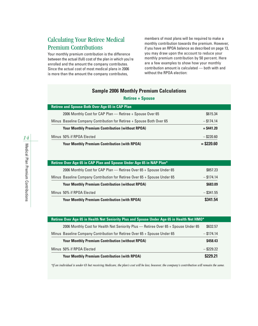#### Calculating Your Retiree Medical Premium Contributions

Your monthly premium contribution is the difference between the actual (full) cost of the plan in which you're enrolled and the amount the company contributes. Since the actual cost of most medical plans in 2006 is more than the amount the company contributes,

members of most plans will be required to make a monthly contribution towards the premium. However, if you have an RPOA balance as described on page 13, you may draw upon the account to reduce your monthly premium contribution by 50 percent. Here are a few examples to show how your monthly contribution amount is calculated — both with and without the RPOA election:

#### **Sample 2006 Monthly Premium Calculations**

| <b>Retiree + Spouse</b> |  |  |  |  |  |  |
|-------------------------|--|--|--|--|--|--|
|-------------------------|--|--|--|--|--|--|

| <b>Retiree and Spouse Both Over Age 65 in CAP Plan</b>                |              |
|-----------------------------------------------------------------------|--------------|
| 2006 Monthly Cost for CAP Plan - Retiree + Spouse Over 65             | \$615.34     |
| Minus Baseline Company Contribution for Retiree + Spouse Both Over 65 | $-$ \$174.14 |
| <b>Your Monthly Premium Contribution (without RPOA)</b>               | $=$ \$441.20 |
| Minus 50% if RPOA Elected                                             | $-$ \$220.60 |
| <b>Your Monthly Premium Contribution (with RPOA)</b>                  | $=$ \$220.60 |

| Retiree Over Age 65 in CAP Plan and Spouse Under Age 65 in NAP Plan*      |              |
|---------------------------------------------------------------------------|--------------|
| 2006 Monthly Cost for CAP Plan - Retiree Over 65 + Spouse Under 65        | \$857.23     |
| Minus Baseline Company Contribution for Retiree Over 65 + Spouse Under 65 | $-$ \$174.14 |
| <b>Your Monthly Premium Contribution (without RPOA)</b>                   | \$683,09     |
| Minus 50% if RPOA Elected                                                 | $-$ \$341.55 |
| <b>Your Monthly Premium Contribution (with RPOA)</b>                      | \$341.54     |

| Retiree Over Age 65 in Health Net Seniority Plus and Spouse Under Age 65 in Health Net HMO* |              |
|---------------------------------------------------------------------------------------------|--------------|
| 2006 Monthly Cost for Health Net Seniority Plus - Retiree Over 65 + Spouse Under 65         | \$632.57     |
| Minus Baseline Company Contribution for Retiree Over 65 + Spouse Under 65                   | $-$ \$174.14 |
| <b>Your Monthly Premium Contribution (without RPOA)</b>                                     | \$458.43     |
| Minus 50% if RPOA Elected                                                                   | $-$ \$229.22 |
| <b>Your Monthly Premium Contribution (with RPOA)</b>                                        | \$229.21     |

*\*If an individual is under 65 but receiving Medicare, the plan's cost will be less; however, the company's contribution will remain the same.*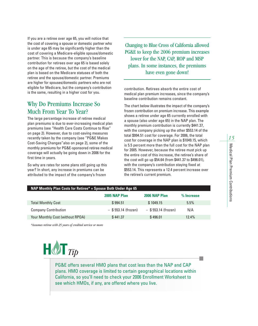If you are a retiree over age 65, you will notice that the cost of covering a spouse or domestic partner who is under age 65 may be significantly higher than the cost of covering a Medicare-eligible spouse/domestic partner. This is because the company's baseline contribution for retirees over age 65 is based solely on the age of the retiree, but the cost of the medical plan is based on the Medicare statuses of both the retiree and the spouse/domestic partner. Premiums are higher for spouses/domestic partners who are not eligible for Medicare, but the company's contribution is the same, resulting in a higher cost for you.

#### Why Do Premiums Increase So Much From Year To Year?

The large percentage increase of retiree medical plan premiums is due to ever-increasing medical plan premiums (see "Health Care Costs Continue to Rise" on page 2). However, due to cost-saving measures recently taken by the company (see "PG&E Makes Cost-Saving Changes"also on page 2), some of the monthly premiums for PG&E-sponsored retiree medical coverage will actually be going down in 2006 for the first time in years.

So why are rates for some plans still going up this year? In short, any increase in premiums can be attributed to the impact of the company's frozen

Changing to Blue Cross of California allowed PG&E to keep the 2006 premium increases lower for the NAP, CAP, ROP and MSP plans. In some instances, the premiums have even gone down!

contribution. Retirees absorb the entire cost of medical plan premium increases, since the company's baseline contribution remains constant.

The chart below illustrates the impact of the company's frozen contribution on premium increase. This example shows a retiree under age 65 currently enrolled with a spouse (also under age 65) in the NAP plan. The monthly premium contribution is currently \$441.37, with the company picking up the other \$553.14 of the total \$994.51 cost for coverage. For 2006, the total cost for coverage in the NAP plan is \$1049.15, which is 5.5 percent more than the full cost for the NAP plan for 2005. However, because the retiree must pick up the entire cost of this increase, the retiree's share of the cost will go up \$54.64 (from \$441.37 to \$496.01), with the company's contribution staying fixed at \$553.14. This represents a 12.4 percent increase over the retiree's current premium.

| NAP Monthly Plan Costs for Retiree* + Spouse Both Under Age 65 |                       |                        |            |  |
|----------------------------------------------------------------|-----------------------|------------------------|------------|--|
|                                                                | 2005 NAP Plan         | 2006 NAP Plan          | % Increase |  |
| <b>Total Monthly Cost</b>                                      | \$994.51              | \$1049.15              | 5.5%       |  |
| <b>Company Contribution</b>                                    | $-$ \$553.14 (frozen) | $-$ \$ 553.14 (frozen) | N/A        |  |
| Your Monthly Cost (without RPOA)                               | \$441.37              | \$496.01               | 12.4%      |  |

*\*Assumes retiree with 25 years of credited service or more*

## $H$  $\mathcal{O}$ **T** $_{Tip}$

PG&E offers several HMO plans that cost less than the NAP and CAP plans. HMO coverage is limited to certain geographical locations within California, so you'll need to check your 2006 Enrollment Worksheet to see which HMOs, if any, are offered where you live.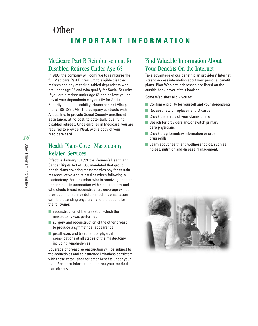### **Other**

### **IMPORTANT INFORMATION**

#### Medicare Part B Reimbursement for Disabled Retirees Under Age 65

In 2006, the company will continue to reimburse the full Medicare Part B premium to eligible disabled retirees and any of their disabled dependents who are under age 65 and who qualify for Social Security. If you are a retiree under age 65 and believe you or any of your dependents may qualify for Social Security due to a disability, please contact Allsup, Inc. at 888-339-0743. The company contracts with Allsup, Inc. to provide Social Security enrollment assistance, at no cost, to potentially qualifying disabled retirees. Once enrolled in Medicare, you are required to provide PG&E with a copy of your Medicare card.

#### Health Plans Cover Mastectomy-Related Services

Effective January 1, 1999, the Women's Health and Cancer Rights Act of 1998 mandated that group health plans covering mastectomies pay for certain reconstructive and related services following a mastectomy. For a member who is receiving benefits under a plan in connection with a mastectomy and who elects breast reconstruction, coverage will be provided in a manner determined in consultation with the attending physician and the patient for the following:

- reconstruction of the breast on which the mastectomy was performed
- surgery and reconstruction of the other breast to produce a symmetrical appearance
- prostheses and treatment of physical complications at all stages of the mastectomy, including lymphedemas.

Coverage of breast reconstruction will be subject to the deductibles and coinsurance limitations consistent with those established for other benefits under your plan. For more information, contact your medical plan directly.

#### Find Valuable Information About Your Benefits On the Internet

Take advantage of our benefit plan providers' Internet sites to access information about your personal benefit plans. Plan Web site addresses are listed on the outside back cover of this booklet.

Some Web sites allow you to:

- Confirm eligibility for yourself and your dependents
- Request new or replacement ID cards
- Check the status of your claims online
- Search for providers and/or switch primary care physicians
- Check drug formulary information or order drug refills
- Learn about health and wellness topics, such as fitness, nutrition and disease management.

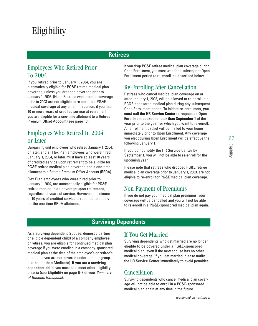#### **Retirees**

#### Employees Who Retired Prior To 2004

If you retired prior to January 1, 2004, you are automatically eligible for PG&E retiree medical plan coverage, unless you dropped coverage prior to January 1, 2003. (Note: Retirees who dropped coverage prior to 2003 are not eligible to re-enroll for PG&E medical coverage at any time.) In addition, if you had 10 or more years of credited service at retirement, you are eligible for a one-time allotment to a Retiree Premium Offset Account (see page 13).

#### Employees Who Retired In 2004 or Later

Bargaining unit employees who retired January 1, 2004, or later, and all Flex Plan employees who were hired January 1, 2004, or later must have at least 10 years of credited service upon retirement to be eligible for PG&E retiree medical plan coverage and a one-time allotment to a Retiree Premium Offset Account (RPOA).

Flex Plan employees who were hired prior to January 1, 2004, are automatically eligible for PG&E retiree medical plan coverage upon retirement, regardless of years of service. However, a minimum of 10 years of credited service is required to qualify for the one-time RPOA allotment.

If you drop PG&E retiree medical plan coverage during Open Enrollment, you must wait for a subsequent Open Enrollment period to re-enroll, as described below.

#### Re-Enrolling After Cancellation

Retirees who cancel medical plan coverage on or after January 1, 2003, will be allowed to re-enroll in a PG&E-sponsored medical plan during any subsequent Open Enrollment period. To initiate re-enrollment, **you must call the HR Service Center to request an Open Enrollment packet no later than September 1** of the year prior to the year for which you want to re-enroll. An enrollment packet will be mailed to your home immediately prior to Open Enrollment. Any coverage you elect during Open Enrollment will be effective the following January 1.

If you do not notify the HR Service Center by September 1, you will not be able to re-enroll for the upcoming year.

Please note that retirees who dropped PG&E retiree medical plan coverage prior to January 1, 2003, are not eligible to re-enroll for PG&E medical plan coverage.

#### Non-Payment of Premiums

If you do not pay your medical plan premiums, your coverage will be cancelled and you will not be able to re-enroll in a PG&E-sponsored medical plan again.

#### **Surviving Dependents**

As a surviving dependent (spouse, domestic partner or eligible dependent child) of a company employee or retiree, you are eligible for continued medical plan coverage if you were enrolled in a company-sponsored medical plan at the time of the employee's or retiree's death and you are not covered under another group plan (other than Medicare). **If you are a surviving dependent child**, you must also meet other eligibility criteria (see **Eligibility** on page B-3 of your *Summary of Benefits Handbook*).

#### If You Get Married

Surviving dependents who get married are no longer eligible to be covered under a PG&E-sponsored medical plan, even if the new spouse has no other medical coverage. If you get married, please notify the HR Service Center immediately to avoid penalties.

#### **Cancellation**

Surviving dependents who cancel medical plan coverage will not be able to enroll in a PG&E-sponsored medical plan again at any time in the future.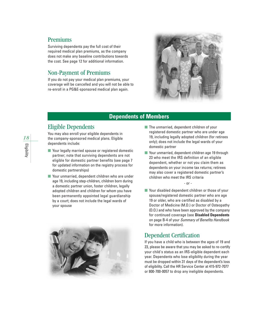#### Premiums

Surviving dependents pay the full cost of their required medical plan premiums, as the company does not make any baseline contributions towards the cost. See page 12 for additional information.

#### Non-Payment of Premiums

If you do not pay your medical plan premiums, your coverage will be cancelled and you will not be able to re-enroll in a PG&E-sponsored medical plan again.



#### **Dependents of Members**

#### Eligible Dependents

You may also enroll your eligible dependents in the company-sponsored medical plans. Eligible dependents include:

- Your legally married spouse or registered domestic partner; note that surviving dependents are not eligible for domestic partner benefits (see page 7 for updated information on the registry process for domestic partnerships)
- Your unmarried, dependent children who are under age 19, including step-children, children born during a domestic partner union, foster children, legally adopted children and children for whom you have been permanently appointed legal guardianship by a court; does not include the legal wards of your spouse



- The unmarried, dependent children of your registered domestic partner who are under age 19, including legally adopted children (for retirees only); does not include the legal wards of your domestic partner
- Your unmarried, dependent children age 19 through 23 who meet the IRS definition of an eligible dependent, whether or not you claim them as dependents on your income tax returns; retirees may also cover a registered domestic partner's children who meet the IRS criteria

- or -

■ Your disabled dependent children or those of your spouse/registered domestic partner who are age 19 or older, who are certified as disabled by a Doctor of Medicine (M.D.) or Doctor of Osteopathy (D.O.) and who have been approved by the company for continued coverage (see **Disabled Dependents** on page B-4 of your *Summary of Benefits Handbook* for more information).

#### Dependent Certification

If you have a child who is between the ages of 19 and 23, please be aware that you may be asked to re-certify your child's status as an IRS-eligible dependent each year. Dependents who lose eligibility during the year must be dropped within 31 days of the dependent's loss of eligibility. Call the HR Service Center at 415-972-7077 or 800-700-0057 to drop any ineligible dependents.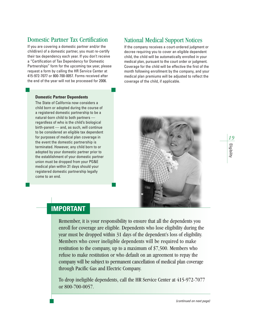#### Domestic Partner Tax Certification

If you are covering a domestic partner and/or the child(ren) of a domestic partner, you must re-certify their tax dependency each year. If you don't receive a "Certification of Tax Dependency for Domestic Partnerships" form for the upcoming tax year, please request a form by calling the HR Service Center at 415-972-7077 or 800-700-0057. Forms received after the end of the year will not be processed for 2006.

#### National Medical Support Notices

If the company receives a court-ordered judgment or decree requiring you to cover an eligible dependent child, the child will be automatically enrolled in your medical plan, pursuant to the court order or judgment. Coverage for the child will be effective the first of the month following enrollment by the company, and your medical plan premiums will be adjusted to reflect the coverage of the child, if applicable.

#### **Domestic Partner Dependents**

The State of California now considers a child born or adopted during the course of a registered domestic partnership to be a natural-born child to both partners regardless of who is the child's biological birth-parent — and, as such, will continue to be considered an eligible tax dependent for purposes of medical plan coverage in the event the domestic partnership is terminated. However, any child born to or adopted by your domestic partner prior to the establishment of your domestic partner union must be dropped from your PG&E medical plan within 31 days should your registered domestic partnership legally come to an end.



#### **IMPORTANT**

Remember, it is your responsibility to ensure that all the dependents you enroll for coverage are eligible. Dependents who lose eligibility during the year must be dropped within 31 days of the dependent's loss of eligibility. Members who cover ineligible dependents will be required to make restitution to the company, up to a maximum of \$7,500. Members who refuse to make restitution or who default on an agreement to repay the company will be subject to permanent cancellation of medical plan coverage through Pacific Gas and Electric Company.

To drop ineligible dependents, call the HR Service Center at 415-972-7077 or 800-700-0057.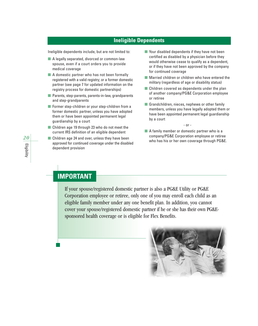#### **Ineligible Dependents**

Ineligible dependents include, but are not limited to:

- A legally separated, divorced or common-law spouse, even if a court orders you to provide medical coverage
- A domestic partner who has not been formally registered with a valid registry; or a former domestic partner (see page 7 for updated information on the registry process for domestic partnerships)
- Parents, step-parents, parents-in-law, grandparents and step-grandparents
- Former step-children or your step-children from a former domestic partner, unless you have adopted them or have been appointed permanent legal guardianship by a court
- Children age 19 through 23 who do not meet the current IRS definition of an eligible dependent
- Children age 24 and over, unless they have been approved for continued coverage under the disabled dependent provision
- Your disabled dependents if they have not been certified as disabled by a physician before they would otherwise cease to qualify as a dependent, or if they have not been approved by the company for continued coverage
- Married children or children who have entered the military (regardless of age or disability status)
- Children covered as dependents under the plan of another company/PG&E Corporation employee or retiree
- Grandchildren, nieces, nephews or other family members, unless you have legally adopted them or have been appointed permanent legal guardianship by a court

- or -

■ A family member or domestic partner who is a company/PG&E Corporation employee or retiree who has his or her own coverage through PG&E.

#### **IMPORTANT**

If your spouse/registered domestic partner is also a PG&E Utility or PG&E Corporation employee or retiree, only one of you may enroll each child as an eligible family member under any one benefit plan. In addition, you cannot cover your spouse/registered domestic partner if he or she has their own PG&Esponsored health coverage or is eligible for Flex Benefits.



*20*Eligibility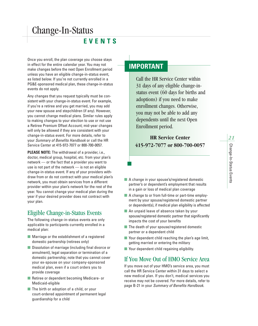### Change-In-Status

#### **EVENTS**

Once you enroll, the plan coverage you choose stays in effect for the entire calendar year. You may not make changes before the next Open Enrollment period unless you have an eligible change-in-status event, as listed below. If you're not currently enrolled in a PG&E-sponsored medical plan, these change-in-status events do not apply.

Any changes that you request typically must be consistent with your change-in-status event. For example, if you're a retiree and you get married, you may add your new spouse and stepchildren (if any). However, you cannot change medical plans. Similar rules apply to making changes to your election to use or not use a Retiree Premium Offset Account; mid-year changes will only be allowed if they are consistent with your change-in-status event. For more details, refer to your *Summary of Benefits Handbook* or call the HR Service Center at 415-972-7077 or 800-700-0057.

**PLEASE NOTE:** The withdrawal of a provider, i.e., doctor, medical group, hospital, etc. from your plan's network — or the fact that a provider you want to use is not part of the network — is not an eligible change-in-status event. If any of your providers withdraw from or do not contract with your medical plan's network, you must obtain services from a different provider within your plan's network for the rest of the year. You cannot change your medical plan during the year if your desired provider does not contract with your plan.

#### Eligible Change-in-Status Events

The following change-in-status events are only applicable to participants currently enrolled in a medical plan:

- Marriage or the establishment of a registered domestic partnership (retirees only)
- Dissolution of marriage (including final divorce or annulment), legal separation or termination of a domestic partnership; note that you cannot cover your ex-spouse on your company-sponsored medical plan, even if a court orders you to provide coverage
- Retiree or dependent becoming Medicare- or Medicaid-eligible
- The birth or adoption of a child, or your court-ordered appointment of permanent legal guardianship for a child

#### **IMPORTANT**

Call the HR Service Center within 31 days of any eligible change-instatus event (60 days for births and adoptions) if you need to make enrollment changes. Otherwise, you may not be able to add any dependents until the next Open Enrollment period.

**HR Service Center 415-972-7077 or 800-700-0057**

- A change in your spouse's/registered domestic partner's or dependent's employment that results in a gain or loss of medical plan coverage
- A change to or from full-time or part-time employment by your spouse/registered domestic partner or dependent(s), if medical plan eligibility is affected
- An unpaid leave of absence taken by your spouse/registered domestic partner that significantly impacts the cost of your benefits
- The death of your spouse/registered domestic partner or a dependent child
- Your dependent child reaching the plan's age limit, getting married or entering the military
- Your dependent child regaining eligibility.

#### If You Move Out of HMO Service Area

If you move out of your HMO's service area, you must call the HR Service Center within 31 days to select a new medical plan. If you don't, medical services you receive may not be covered. For more details, refer to page B-21 in your *Summary of Benefits Handbook.*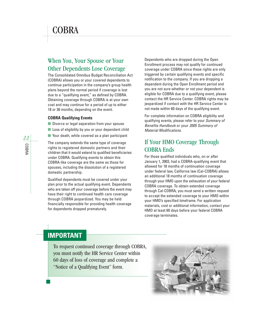### COBRA

#### When You, Your Spouse or Your Other Dependents Lose Coverage

The Consolidated Omnibus Budget Reconciliation Act (COBRA) allows you or your covered dependents to continue participation in the company's group health plans beyond the normal period if coverage is lost due to a "qualifying event," as defined by COBRA. Obtaining coverage through COBRA is at your own cost and may continue for a period of up to either 18 or 36 months, depending on the event.

#### **COBRA Qualifying Events**

- Divorce or legal separation from your spouse
- Loss of eligibility by you or your dependent child
- Your death, while covered as a plan participant

The company extends the same type of coverage rights to registered domestic partners and their children that it would extend to qualified beneficiaries under COBRA. Qualifying events to obtain this COBRA-like coverage are the same as those for spouses, including the dissolution of a registered domestic partnership.

Qualified dependents must be covered under your plan prior to the actual qualifying event. Dependents who are taken off your coverage before the event may have their right to continued health care coverage through COBRA jeopardized. You may be held financially responsible for providing health coverage for dependents dropped prematurely.

Dependents who are dropped during the Open Enrollment process may not qualify for continued coverage under COBRA since these rights are only triggered by certain qualifying events and specific notification to the company. If you are dropping a dependent during the Open Enrollment period and you are not sure whether or not your dependent is eligible for COBRA due to a qualifying event, please contact the HR Service Center. COBRA rights may be jeopardized if contact with the HR Service Center is not made within 60 days of the qualifying event.

For complete information on COBRA eligibility and qualifying events, please refer to your *Summary of Benefits Handbook* or your *2005 Summary of Material Modifications*.

#### If Your HMO Coverage Through COBRA Ends

For those qualified individuals who, on or after January 1, 2003, had a COBRA-qualifying event that allowed for 18 months of continuation coverage under federal law, California law (Cal-COBRA) allows an additional 18 months of continuation coverage through your HMO upon the exhaustion of your federal COBRA coverage. To obtain extended coverage through Cal-COBRA, you must send a written request to accept the extended coverage to your HMO within your HMO's specified timeframe. For application materials, cost or additional information, contact your HMO at least 60 days before your federal COBRA coverage terminates.

#### **IMPORTANT**

To request continued coverage through COBRA, you must notify the HR Service Center within 60 days of loss of coverage and complete a "Notice of a Qualifying Event" form.

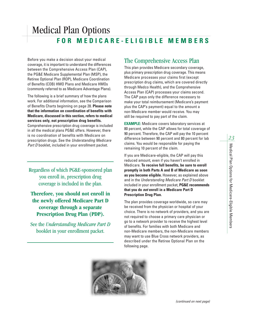### Medical Plan Options **FOR MEDICARE-ELIGIBLE MEMBERS**

Before you make a decision about your medical coverage, it is important to understand the differences between the Comprehensive Access Plan (CAP), the PG&E Medicare Supplemental Plan (MSP), the Retiree Optional Plan (ROP), Medicare Coordination of Benefits (COB) HMO Plans and Medicare HMOs (commonly referred to as Medicare Advantage Plans).

The following is a brief summary of how the plans work. For additional information, see the Comparison of Benefits Charts beginning on page 28. **Please note that the information on coordination of benefits with Medicare, discussed in this section, refers to medical services only, not prescription drug benefits.** Comprehensive prescription drug coverage is included in all the medical plans PG&E offers. However, there is no coordination of benefits with Medicare on prescription drugs. See the *Understanding Medicare Part D* booklet, included in your enrollment packet.

Regardless of which PG&E-sponsored plan you enroll in, prescription drug coverage is included in the plan.

**Therefore, you should not enroll in the newly offered Medicare Part D coverage through a separate Prescription Drug Plan (PDP).**

See the *Understanding Medicare Part D* booklet in your enrollment packet.

#### The Comprehensive Access Plan

This plan provides Medicare secondary coverage, plus primary prescription drug coverage. This means Medicare processes your claims first (except prescription drug claims, which are covered directly through Medco Health), and the Comprehensive Access Plan (CAP) processes your claims second. The CAP pays only the difference necessary to make your total reimbursement (Medicare's payment plus the CAP's payment) equal to the amount a non-Medicare member would receive. You may still be required to pay part of the claim.

**EXAMPLE:** Medicare covers laboratory services at 80 percent, while the CAP allows for total coverage of 90 percent. Therefore, the CAP will pay the 10 percent difference between 90 percent and 80 percent for lab claims. You would be responsible for paying the remaining 10 percent of the claim.

If you are Medicare-eligible, the CAP will pay this reduced amount, even if you haven't enrolled in Medicare. **To receive full benefits, be sure to enroll promptly in both Parts A and B of Medicare as soon as you become eligible.** However, as explained above and in the *Understanding Medicare Part D* booklet included in your enrollment packet, **PG&E recommends that you do** *not* **enroll in a Medicare Part D Prescription Drug Plan.**

The plan provides coverage worldwide, so care may be received from the physician or hospital of your choice. There is no network of providers, and you are not required to choose a primary care physician or go to a network provider to receive the highest level of benefits. For families with both Medicare and non-Medicare members, the non-Medicare members may want to use Blue Cross network providers, as described under the Retiree Optional Plan on the following page.

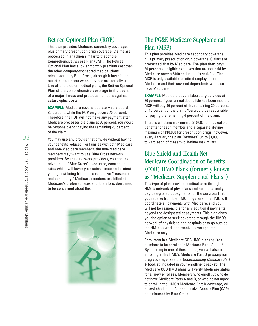#### Retiree Optional Plan (ROP)

This plan provides Medicare secondary coverage, plus primary prescription drug coverage. Claims are processed in a fashion similar to that of the Comprehensive Access Plan (CAP). The Retiree Optional Plan has a lower monthly premium cost than the other company-sponsored medical plans administered by Blue Cross, although it has higher out-of-pocket costs when services are actually used. Like all of the other medical plans, the Retiree Optional Plan offers comprehensive coverage in the event of a major illness and protects members against catastrophic costs.

**EXAMPLE:** Medicare covers laboratory services at 80 percent, while the ROP only covers 70 percent. Therefore, the ROP will not make any payment after Medicare processes the claim at 80 percent. You would be responsible for paying the remaining 20 percent of the claim.

You may use any provider nationwide without having your benefits reduced. For families with both Medicare and non-Medicare members, the non-Medicare members may want to use Blue Cross network providers. By using network providers, you can take advantage of Blue Cross' discounted, contracted rates which will lower your coinsurance and protect you against being billed for costs above "reasonable and customary." Medicare members are billed at Medicare's preferred rates and, therefore, don't need to be concerned about this.



#### The PG&E Medicare Supplemental Plan (MSP)

This plan provides Medicare secondary coverage, plus primary prescription drug coverage. Claims are processed first by Medicare. The plan then pays 80 percent of eligible expenses that are not paid by Medicare once a \$100 deductible is satisfied. The MSP is only available to retired employees on Medicare and their covered dependents who also have Medicare.

**EXAMPLE:** Medicare covers laboratory services at 80 percent. If your annual deductible has been met, the MSP will pay 80 percent of the remaining 20 percent, or 16 percent of the claim. You would be responsible for paying the remaining 4 percent of the claim.

There is a lifetime maximum of \$10,000 for medical plan benefits for each member and a separate lifetime maximum of \$10,000 for prescription drugs; however, every January the plan "restores" up to \$1,000 toward each of these two lifetime maximums.

#### Blue Shield and Health Net Medicare Coordination of Benefits (COB) HMO Plans (formerly known as "Medicare Supplemental Plans")

This type of plan provides medical care through the HMO's network of physicians and hospitals, and you pay designated copayments for the services that you receive from the HMO. In general, the HMO will coordinate all payments with Medicare, and you will not be responsible for any additional payments beyond the designated copayments. This plan gives you the option to seek coverage through the HMO's network of physicians and hospitals or to go outside the HMO network and receive coverage from Medicare only.

Enrollment in a Medicare COB HMO plan requires members to be enrolled in Medicare Parts A and B. By enrolling in one of these plans, you will also be enrolling in the HMO's Medicare Part D prescription drug coverage (see the *Understanding Medicare Part D* booklet, included in your enrollment packet). The Medicare COB HMO plans will verify Medicare status for all new enrollees. Members who enroll but who do not have Medicare Parts A and B, or who do not agree to enroll in the HMO's Medicare Part D coverage, will be switched to the Comprehensive Access Plan (CAP) administered by Blue Cross.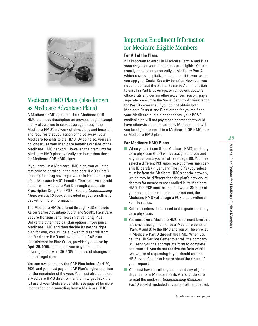

#### Medicare HMO Plans (also known as Medicare Advantage Plans)

A Medicare HMO operates like a Medicare COB HMO plan (see description on previous page), except it only allows you to seek coverage through the Medicare HMO's network of physicians and hospitals and requires that you assign or "give away" your Medicare benefits to the HMO. By doing so, you can no longer use your Medicare benefits outside of the Medicare HMO network. However, the premiums for Medicare HMO plans typically are lower than those for Medicare COB HMO plans.

If you enroll in a Medicare HMO plan, you will automatically be enrolled in the Medicare HMO's Part D prescription drug coverage, which is included as part of the Medicare HMO's benefits. Therefore, you should not enroll in Medicare Part D through a separate Prescription Drug Plan (PDP). See the *Understanding Medicare Part D* booklet included in your enrollment packet for more information.

The Medicare HMOs offered through PG&E include Kaiser Senior Advantage (North and South), PacifiCare Secure Horizons, and Health Net Seniority Plus. Unlike the other medical plan options, if you join a Medicare HMO and then decide its not the right plan for you, you will be allowed to disenroll from the Medicare HMO and switch to the CAP plan administered by Blue Cross, provided you do so **by April 30, 2006.** In addition, you may not cancel coverage after April 30, 2006, because of changes in federal regulations.

You can switch to only the CAP Plan before April 30, 2006, and you must pay the CAP Plan's higher premium for the remainder of the year. You must also complete a Medicare HMO disenrollment form to get back the full use of your Medicare benefits (see page 26 for more information on disenrolling from a Medicare HMO).

#### Important Enrollment Information for Medicare-Eligible Members

#### **For All of the Plans**

It is important to enroll in Medicare Parts A and B as soon as you or your dependents are eligible. You are usually enrolled automatically in Medicare Part A, which covers hospitalization at no cost to you, when you apply for Social Security benefits. However, you need to contact the Social Security Administration to enroll in Part B coverage, which covers doctor's office visits and certain other expenses. You will pay a separate premium to the Social Security Administration for Part B coverage. If you do not obtain both Medicare Parts A and B coverage for yourself and your Medicare-eligible dependents, your PG&E medical plan will not pay those charges that would have otherwise been covered by Medicare, nor will you be eligible to enroll in a Medicare COB HMO plan or Medicare HMO plan.

#### **For Medicare HMO Plans**

- When you first enroll in a Medicare HMO, a primary care physician (PCP) will be assigned to you and any dependents you enroll (see page 10). You may select a different PCP upon receipt of your membership ID card(s) in January. The PCP(s) you select must be from the Medicare HMO's special network, which may be different than the plan's network of doctors for members not enrolled in its Medicare HMO. The PCP must be located within 30 miles of your home. If this requirement is not met, the Medicare HMO will assign a PCP that is within a 30-mile radius.
- Kaiser members do not need to designate a primary care physician.
- You must sign a Medicare HMO Enrollment form that authorizes assignment of your Medicare benefits (Parts A and B) to the HMO and you will be enrolled in Medicare Part D through the HMO. When you call the HR Service Center to enroll, the company will send you the appropriate form to complete and return. If you do not receive the form within two weeks of requesting it, you should call the HR Service Center to inquire about the status of your request.
- You must have enrolled yourself and any eligible dependents in Medicare Parts A and B. Be sure to read the enclosed *Understanding Medicare Part D* booklet, included in your enrollment packet.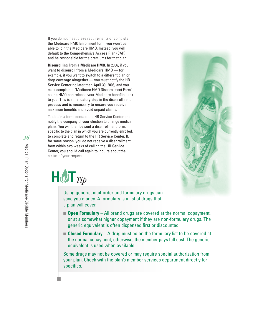If you do not meet these requirements or complete the Medicare HMO Enrollment form, you won't be able to join the Medicare HMO. Instead, you will default to the Comprehensive Access Plan (CAP) and be responsible for the premiums for that plan.

**Disenrolling From a Medicare HMO.** In 2006, if you want to disenroll from a Medicare HMO — for example, if you want to switch to a different plan or drop coverage altogether — you must notify the HR Service Center no later than April 30, 2006, and you must complete a "Medicare HMO Disenrollment Form" so the HMO can release your Medicare benefits back to you. This is a mandatory step in the disenrollment process and is necessary to ensure you receive maximum benefits and avoid unpaid claims.

To obtain a form, contact the HR Service Center and notify the company of your election to change medical plans. You will then be sent a disenrollment form, specific to the plan in which you are currently enrolled, to complete and return to the HR Service Center. If, for some reason, you do not receive a disenrollment form within two weeks of calling the HR Service Center, you should call again to inquire about the status of your request.





Using generic, mail-order and formulary drugs can save you money. A formulary is a list of drugs that a plan will cover.

- **Open Formulary** All brand drugs are covered at the normal copayment, or at a somewhat higher copayment if they are non-formulary drugs. The generic equivalent is often dispensed first or discounted.
- **Closed Formulary** A drug must be on the formulary list to be covered at the normal copayment; otherwise, the member pays full cost. The generic equivalent is used when available.

Some drugs may not be covered or may require special authorization from your plan. Check with the plan's member services department directly for specifics.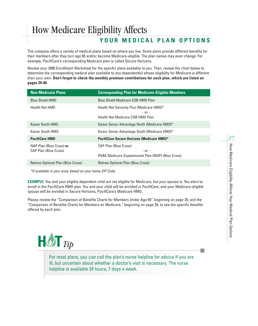### How Medicare Eligibility Affects

#### **YOUR MEDICAL PLAN OPTIONS**

The company offers a variety of medical plans based on where you live. Some plans provide different benefits for their members after they turn age 65 and/or become Medicare-eligible. The plan names may even change. For example, PacifiCare's corresponding Medicare plan is called Secure Horizons.

Review your 2006 Enrollment Worksheet for the specific plans available to you. Then, review the chart below to determine the corresponding medical plan available to any dependent(s) whose eligibility for Medicare is different than your own. **Don't forget to check the monthly premium contributions for each plan, which are listed on pages 39-40.**

| <b>Non-Medicare Plans</b>                                | <b>Corresponding Plan for Medicare-Eligible Members</b>                                          |
|----------------------------------------------------------|--------------------------------------------------------------------------------------------------|
| <b>Blue Shield HMO</b>                                   | Blue Shield Medicare COB HMO Plan                                                                |
| <b>Health Net HMO</b>                                    | Health Net Seniority Plus (Medicare HMO)*<br>$-$ or $-$<br>Health Net Medicare COB HMO Plan      |
| Kaiser North HMO                                         | Kaiser Senior Advantage North (Medicare HMO)*                                                    |
| Kaiser South HMO                                         | Kaiser Senior Advantage South (Medicare HMO)*                                                    |
| <b>PacifiCare HMO</b>                                    | <b>PacifiCare Secure Horizons (Medicare HMO)*</b>                                                |
| NAP Plan (Blue Cross) or<br><b>CAP Plan (Blue Cross)</b> | <b>CAP Plan (Blue Cross)</b><br>$-$ or $-$<br>PG&E Medicare Supplemental Plan (MSP) (Blue Cross) |
| Retiree Optional Plan (Blue Cross)                       | Retiree Optional Plan (Blue Cross)                                                               |

*\*If available in your area; based on your home ZIP Code*

**EXAMPLE:** You and your eligible dependent child are not eligible for Medicare, but your spouse is. You elect to enroll in the PacifiCare HMO plan. You and your child will be enrolled in PacifiCare, and your Medicare-eligible spouse will be enrolled in Secure Horizons, PacifiCare's Medicare HMO.

Please review the "Comparison of Benefits Charts for Members Under Age 65" beginning on page 29, and the "Comparison of Benefits Charts for Members on Medicare," beginning on page 34, to see the specific benefits offered by each plan.



For most plans, you can call the plan's nurse helpline for advice if you are ill, but uncertain about whether a doctor's visit is necessary. The nurse helpline is available 24 hours, 7 days a week.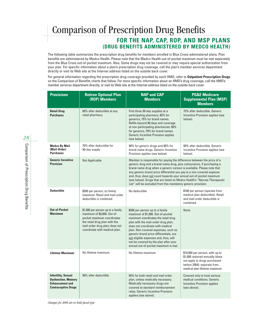### Comparison of Prescription Drug Benefits

#### **FOR THE NAP, CAP, ROP, AND MSP PLANS (DRUG BENEFITS ADMINISTERED BY MEDCO HEALTH)**

The following table summarizes the prescription drug benefits for members enrolled in Blue Cross-administered plans. Plan benefits are administered by Medco Health. Please note that the Medco Health out-of-pocket maximum must be met separately from the Blue Cross out-of-pocket maximum. Also, Some drugs may not be covered or may require special authorization from your plan. For specific information about a plan's prescription drug coverage, call the plan's member services department directly or visit its Web site at the Internet address listed on the outside back cover.

For general information regarding the prescription drug coverage provided by each HMO, refer to **Outpatient Prescription Drugs** on the Comparison of Benefits charts that follow. For more specific information about an HMO's drug coverage, call the HMO's member services department directly, or visit its Web site at the Internet address listed on the outside back cover.

| <b>Provisions</b>                                                                                                | <b>Retiree Optional Plan</b><br>(ROP) Members                                                                                                                                                      | <b>NAP and CAP</b><br><b>Members</b>                                                                                                                                                                                                                                                                                                                                                                                                                                                                                  | <b>PG&amp;E Medicare</b><br><b>Supplemental Plan (MSP)</b><br><b>Members</b>                                                                                       |
|------------------------------------------------------------------------------------------------------------------|----------------------------------------------------------------------------------------------------------------------------------------------------------------------------------------------------|-----------------------------------------------------------------------------------------------------------------------------------------------------------------------------------------------------------------------------------------------------------------------------------------------------------------------------------------------------------------------------------------------------------------------------------------------------------------------------------------------------------------------|--------------------------------------------------------------------------------------------------------------------------------------------------------------------|
| <b>Retail Drug</b><br><b>Purchases</b>                                                                           | 60% after deductible at any<br>retail pharmacy                                                                                                                                                     | First three 30-day supplies at a<br>participating pharmacy: 85% for<br>generics, 75% for brand names.<br>Refills beyond 90 days and coverage<br>at non-participating pharmacies: 80%<br>for generics, 70% for brand names.<br><b>Generic Incentive Provision applies</b><br>(see below).                                                                                                                                                                                                                              | 75% after deductible. Generic<br>Incentive Provision applies (see<br>below).                                                                                       |
| <b>Medco By Mail</b><br>(Mail-Order)<br><b>Purchases</b>                                                         | 70% after deductible for<br>90-day supply                                                                                                                                                          | 90% for generic drugs and 80% for<br>brand-name drugs. Generic Incentive<br>Provision applies (see below).                                                                                                                                                                                                                                                                                                                                                                                                            | 80% after deductible. Generic<br>Incentive Provision applies (see<br>below).                                                                                       |
| <b>Generic Incentive</b><br><b>Provision</b>                                                                     | <b>Not Applicable</b>                                                                                                                                                                              | Member is responsible for paying the difference between the price of a<br>generic drug and a brand-name drug, plus coinsurance, if purchasing a<br>brand-name drug when a generic version is available. Please note that<br>any generic-brand price differential you pay is a non-covered expense<br>and, thus, does not count towards your annual out-of-pocket maximum<br>(see below). Drugs that are listed on Medco Health's "Narrow Therapeutic<br>List" will be excluded from this mandatory generic provision. |                                                                                                                                                                    |
| <b>Deductible</b>                                                                                                | \$200 per person; no family<br>maximum. Retail and mail-order<br>deductible is combined.                                                                                                           | No deductible                                                                                                                                                                                                                                                                                                                                                                                                                                                                                                         | \$100 per person (sperate from<br>medical plan deductible). Retail<br>and mail-order deductible is<br>combined.                                                    |
| <b>Out-of-Pocket</b><br><b>Maximum</b>                                                                           | \$1,500 per person up to a family<br>maximum of \$3,000. Out-of-<br>pocket maximum coordinates<br>the retail drug plan with the<br>mail-order drug plan; does not<br>coordinate with medical plan. | \$500 per person up to a family<br>maximum of \$1,000. Out-of-pocket<br>maximum coordinates the retail drug<br>plan with the mail-order drug plan;<br>does not coordinate with medical<br>plan. Non-covered expenses, such as<br>generic-brand price differentials, are<br>not eligible expenses and, thus, will<br>not be covered by the plan after your<br>annual out-of-pocket maximum is met.                                                                                                                     | None                                                                                                                                                               |
| <b>Lifetime Maximum</b>                                                                                          | No lifetime maximum                                                                                                                                                                                | No lifetime maximum                                                                                                                                                                                                                                                                                                                                                                                                                                                                                                   | \$10,000 per person, with up to<br>\$1,000 restored annually (does<br>not apply to drugs purchased<br>before 2004); separate from<br>medical plan lifetime maximum |
| <b>Infertility, Sexual</b><br><b>Dysfunction, Memory</b><br><b>Enhancement and</b><br><b>Contraceptive Drugs</b> | 50% after deductible                                                                                                                                                                               | 50% for both retail and mail-order<br>plan, unless medically necessary.<br>Medically necessary drugs are<br>covered at standard reimbursement<br>rates. Generic Incentive Provision<br>applies (see above).                                                                                                                                                                                                                                                                                                           | Covered only to treat serious<br>medical conditions. Generic<br><b>Incentive Provision applies</b><br>(see above).                                                 |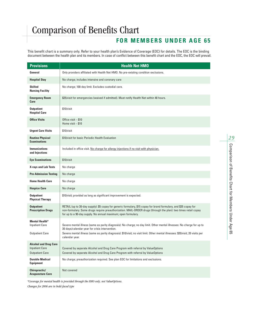#### **FOR MEMBERS UNDER AGE 65**

This benefit chart is a summary only. Refer to your health plan's Evidence of Coverage (EOC) for details. The EOC is the binding document between the health plan and its members. In case of conflict between this benefit chart and the EOC, the EOC will prevail.

| <b>Provisions</b>                                                               | <b>Health Net HMO</b>                                                                                                                                                                                                                                                                                       |
|---------------------------------------------------------------------------------|-------------------------------------------------------------------------------------------------------------------------------------------------------------------------------------------------------------------------------------------------------------------------------------------------------------|
| General                                                                         | Only providers affiliated with Health Net HMO. No pre-existing condition exclusions.                                                                                                                                                                                                                        |
| <b>Hospital Stay</b>                                                            | No charge; includes intensive and coronary care                                                                                                                                                                                                                                                             |
| <b>Skilled</b><br><b>Nursing Facility</b>                                       | No charge; 100-day limit. Excludes custodial care.                                                                                                                                                                                                                                                          |
| <b>Emergency Room</b><br>Care                                                   | \$25/visit for emergencies (waived if admitted). Must notify Health Net within 48 hours.                                                                                                                                                                                                                    |
| <b>Outpatient</b><br><b>Hospital Care</b>                                       | \$10/visit                                                                                                                                                                                                                                                                                                  |
| <b>Office Visits</b>                                                            | Office visit - \$10<br>Home visit $-$ \$10                                                                                                                                                                                                                                                                  |
| <b>Urgent Care Visits</b>                                                       | \$10/visit                                                                                                                                                                                                                                                                                                  |
| <b>Routine Physical</b><br><b>Examinations</b>                                  | \$10/visit for basic Periodic Health Evaluation                                                                                                                                                                                                                                                             |
| <b>Immunizations</b><br>and Injections                                          | Included in office visit. No charge for allergy injections if no visit with physician.                                                                                                                                                                                                                      |
| <b>Eye Examinations</b>                                                         | \$10/vist                                                                                                                                                                                                                                                                                                   |
| <b>X-rays and Lab Tests</b>                                                     | No charge                                                                                                                                                                                                                                                                                                   |
| <b>Pre-Admission Testing</b>                                                    | No charge                                                                                                                                                                                                                                                                                                   |
| <b>Home Health Care</b>                                                         | No charge                                                                                                                                                                                                                                                                                                   |
| <b>Hospice Care</b>                                                             | No charge                                                                                                                                                                                                                                                                                                   |
| <b>Outpatient</b><br><b>Physical Therapy</b>                                    | \$10/visit; provided as long as significant improvement is expected.                                                                                                                                                                                                                                        |
| <b>Outpatient</b><br><b>Prescription Drugs</b>                                  | RETAIL (up to 30-day supply): \$5 copay for generic formulary, \$15 copay for brand formulary, and \$35 copay for<br>non-formulary. Some drugs require preauthorization. MAIL-ORDER drugs (through the plan): two times retail copay<br>for up to a 90-day supply. No annual maximum; open formulary.       |
| <b>Mental Health*</b><br><b>Inpatient Care</b><br><b>Outpatient Care</b>        | Severe mental illness (same as parity diagnosis): No charge; no day limit. Other mental illnesses: No charge for up to<br>30 days/calendar year for crisis intervention.<br>Severe mental illness (same as parity diagnosis): \$10/visit; no visit limit. Other mental illnesses: \$20/visit; 20 visits per |
| <b>Alcohol and Drug Care</b><br><b>Inpatient Care</b><br><b>Outpatient Care</b> | calendar year.<br>Covered by separate Alcohol and Drug Care Program with referral by ValueOptions<br>Covered by separate Alcohol and Drug Care Program with referral by ValueOptions                                                                                                                        |
| <b>Durable Medical</b><br><b>Equipment</b>                                      | No charge; preauthorization required. See plan EOC for limitations and exclusions.                                                                                                                                                                                                                          |
| Chiropractic/<br><b>Acupuncture Care</b>                                        | Not covered                                                                                                                                                                                                                                                                                                 |

*\*Coverage for mental health is provided through the HMO only, not ValueOptions. Changes for 2006 are in bold-faced type*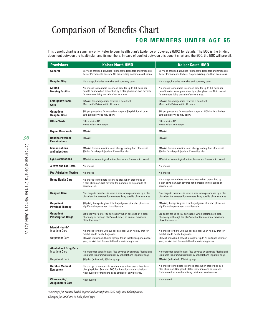#### **FOR MEMBERS UNDER AGE 65**

This benefit chart is a summary only. Refer to your health plan's Evidence of Coverage (EOC) for details. The EOC is the binding document between the health plan and its members. In case of conflict between this benefit chart and the EOC, the EOC will prevail.

| <b>Provisions</b>                                                               | <b>Kaiser North HMO</b>                                                                                                                                                                                                                            | <b>Kaiser South HMO</b>                                                                                                                                                                                                                            |  |  |  |
|---------------------------------------------------------------------------------|----------------------------------------------------------------------------------------------------------------------------------------------------------------------------------------------------------------------------------------------------|----------------------------------------------------------------------------------------------------------------------------------------------------------------------------------------------------------------------------------------------------|--|--|--|
| General                                                                         | Services provided at Kaiser Permanente Hospitals and Offices by<br>Kaiser Permanente doctors. No pre-existing condition exclusions.                                                                                                                | Services provided at Kaiser Permanente Hospitals and Offices by<br>Kaiser Permanente doctors. No pre-existing condition exclusions.                                                                                                                |  |  |  |
| <b>Hospital Stay</b>                                                            | No charge; includes intensive and coronary care.                                                                                                                                                                                                   | No charge; includes intensive and coronary care.                                                                                                                                                                                                   |  |  |  |
| <b>Skilled</b><br><b>Nursing Facility</b>                                       | No charge to members in service area for up to 100 days per<br>benefit period when prescribed by a plan physician. Not covered<br>for members living outside of service area.                                                                      | No charge to members in service area for up to 100 days per<br>benefit period when prescribed by a plan physician. Not covered<br>for members living outside of service area.                                                                      |  |  |  |
| <b>Emergency Room</b><br>Care                                                   | \$25/visit for emergencies (waived if admitted).<br>Must notify Kaiser within 24 hours.                                                                                                                                                            | \$25/visit for emergencies (waived if admitted).<br>Must notify Kaiser within 24 hours.                                                                                                                                                            |  |  |  |
| <b>Outpatient</b><br><b>Hospital Care</b>                                       | \$10 per procedure for outpatient surgery; \$10/visit for all other<br>outpatient services may apply.                                                                                                                                              | \$10 per procedure for outpatient surgery;. \$10/visit for all other<br>outpatient services may apply.                                                                                                                                             |  |  |  |
| <b>Office Visits</b>                                                            | Office visit - \$10<br>Home visit - No charge                                                                                                                                                                                                      | Office visit - \$10<br>Home visit - No charge                                                                                                                                                                                                      |  |  |  |
| <b>Urgent Care Visits</b>                                                       | \$10/visit                                                                                                                                                                                                                                         | \$10/visit                                                                                                                                                                                                                                         |  |  |  |
| <b>Routine Physical</b><br><b>Examinations</b>                                  | \$10/visit                                                                                                                                                                                                                                         | \$10/visit                                                                                                                                                                                                                                         |  |  |  |
| <b>Immunizations</b><br>and Injections                                          | \$10/visit for immunizations and allergy testing if no office visit;<br>\$5/visit for allergy injections if no office visit.                                                                                                                       | \$10/visit for immunizations and allergy testing if no office visit;<br>\$5/visit for allergy injections if no office visit.                                                                                                                       |  |  |  |
| <b>Eye Examinations</b>                                                         | \$10/visit for screening/refraction; lenses and frames not covered.                                                                                                                                                                                | \$10/visit for screening/refraction; lenses and frames not covered.                                                                                                                                                                                |  |  |  |
| <b>X-rays and Lab Tests</b>                                                     | No charge                                                                                                                                                                                                                                          | No charge                                                                                                                                                                                                                                          |  |  |  |
| <b>Pre-Admission Testing</b>                                                    | No charge                                                                                                                                                                                                                                          | No charge                                                                                                                                                                                                                                          |  |  |  |
| <b>Home Health Care</b>                                                         | No charge to members in service area when prescribed by<br>a plan physician. Not covered for members living outside of<br>service area.                                                                                                            | No charge to members in service area when prescribed by<br>a plan physician. Not covered for members living outside of<br>service area.                                                                                                            |  |  |  |
| <b>Hospice Care</b>                                                             | No charge to members in service area when prescribed by a plan<br>physician. Not covered for members living outside of service area.                                                                                                               | No charge to members in service area when prescribed by a plan<br>physician. Not covered for members living outside of service area.                                                                                                               |  |  |  |
| <b>Outpatient</b><br><b>Physical Therapy</b>                                    | \$10/visit; therapy is given if in the judgment of a plan physician<br>significant improvement is achievable.                                                                                                                                      | \$10/visit; therapy is given if in the judgment of a plan physician<br>significant improvement is achievable.                                                                                                                                      |  |  |  |
| <b>Outpatient</b><br><b>Prescription Drugs</b>                                  | \$10 copay for up to 100-day supply when obtained at a plan<br>pharmacy or through plan's mail-order; no annual maximum;<br>closed formulary.                                                                                                      | \$10 copay for up to 100-day supply when obtained at a plan<br>pharmacy or through the plan's mail-order; no annual maximum;<br>closed formulary.                                                                                                  |  |  |  |
| <b>Mental Health*</b><br><b>Inpatient Care</b><br><b>Outpatient Care</b>        | No charge for up to 30 days per calendar year; no day limit for<br>mental health parity diagnoses.<br>\$10/visit (individual), \$5/visit (group) for up to 20 visits per calendar                                                                  | No charge for up to 30 days per calendar year; no day limit for<br>mental health parity diagnoses.<br>\$10/visit (individual), \$5/visit (group) for up to 20 visits per calendar                                                                  |  |  |  |
| <b>Alcohol and Drug Care</b><br><b>Inpatient Care</b><br><b>Outpatient Care</b> | year; no visit limit for mental health parity diagnoses.<br>No charge for detoxification. Also covered by separate Alcohol and<br>Drug Care Program with referral by ValueOptions (inpatient only).<br>\$10/visit (individual); \$5/visit (group). | year; no visit limit for mental health parity diagnoses.<br>No charge for detoxification. Also covered by separate Alcohol and<br>Drug Care Program with referral by ValueOptions (inpatient only).<br>\$10/visit (individual); \$5/visit (group). |  |  |  |
| <b>Durable Medical</b><br><b>Equipment</b>                                      | No charge to members in service area when prescribed by a<br>plan physician. See plan EOC for limitations and exclusions.<br>Not covered for members living outside of service area.                                                               | No charge to members in service area when prescribed by a<br>plan physician. See plan EOC for limitations and exclusions.<br>Not covered for members living outside of service area.                                                               |  |  |  |
| Chiropractic/<br><b>Acupuncture Care</b>                                        | Not covered                                                                                                                                                                                                                                        | Not covered                                                                                                                                                                                                                                        |  |  |  |

*\*Coverage for mental health is provided through the HMO only, not ValueOptions. Changes for 2006 are in bold-faced type*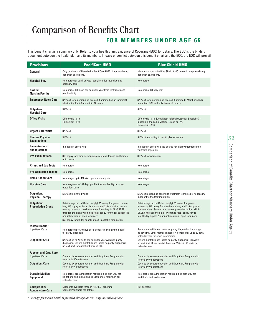#### **FOR MEMBERS UNDER AGE 65**

This benefit chart is a summary only. Refer to your health plan's Evidence of Coverage (EOC) for details. The EOC is the binding document between the health plan and its members. In case of conflict between this benefit chart and the EOC, the EOC will prevail.

| <b>Provisions</b>                                                               | <b>PacifiCare HMO</b>                                                                                                                                                                                                                                                                                                                                               | <b>Blue Shield HMO</b>                                                                                                                                                                                                                                                                                       |  |  |  |  |
|---------------------------------------------------------------------------------|---------------------------------------------------------------------------------------------------------------------------------------------------------------------------------------------------------------------------------------------------------------------------------------------------------------------------------------------------------------------|--------------------------------------------------------------------------------------------------------------------------------------------------------------------------------------------------------------------------------------------------------------------------------------------------------------|--|--|--|--|
| General                                                                         | Only providers affiliated with PacifiCare HMO. No pre-existing<br>condition exclusions.                                                                                                                                                                                                                                                                             | Members access the Blue Shield HMO network. No pre-existing<br>condition exclusions.                                                                                                                                                                                                                         |  |  |  |  |
| <b>Hospital Stay</b>                                                            | No charge for semi-private room; includes intensive and<br>coronary care                                                                                                                                                                                                                                                                                            | No charge                                                                                                                                                                                                                                                                                                    |  |  |  |  |
| <b>Skilled</b><br><b>Nursing Facility</b>                                       | No charge; 100 days per calendar year from first treatment,<br>per disability                                                                                                                                                                                                                                                                                       | No charge; 100-day limit                                                                                                                                                                                                                                                                                     |  |  |  |  |
| <b>Emergency Room Care</b>                                                      | \$25/visit for emergencies (waived if admitted as an inpatient).<br>Must notify PacifiCare within 24 hours.                                                                                                                                                                                                                                                         | \$25/visit for emergencies (waived if admitted). Member needs<br>to contact PCP within 24 hours of service.                                                                                                                                                                                                  |  |  |  |  |
| <b>Outpatient</b><br><b>Hospital Care</b>                                       | \$50/visit                                                                                                                                                                                                                                                                                                                                                          | \$10/visit                                                                                                                                                                                                                                                                                                   |  |  |  |  |
| <b>Office Visits</b>                                                            | Office visit $-$ \$10<br>Home visit $- $10$                                                                                                                                                                                                                                                                                                                         | Office visit - \$10; \$30 without referral (Access+ Specialist) -<br>must be in the same Medical Group or IPA.<br>Home visit $- $10$                                                                                                                                                                         |  |  |  |  |
| <b>Urgent Care Visits</b>                                                       | \$25/visit                                                                                                                                                                                                                                                                                                                                                          | \$10/visit                                                                                                                                                                                                                                                                                                   |  |  |  |  |
| <b>Routine Physical</b><br><b>Examinations</b>                                  | \$10/vist                                                                                                                                                                                                                                                                                                                                                           | \$10/visit according to health plan schedule                                                                                                                                                                                                                                                                 |  |  |  |  |
| <b>Immunizations</b><br>and Injections                                          | Included in office visit                                                                                                                                                                                                                                                                                                                                            | Included in office visit. No charge for allergy injections if no<br>visit with physician.                                                                                                                                                                                                                    |  |  |  |  |
| <b>Eye Examinations</b>                                                         | \$10 copay for vision screening/refractions; lenses and frames<br>not covered                                                                                                                                                                                                                                                                                       | \$10/visit for refraction                                                                                                                                                                                                                                                                                    |  |  |  |  |
| <b>X-rays and Lab Tests</b>                                                     | No charge                                                                                                                                                                                                                                                                                                                                                           | No charge                                                                                                                                                                                                                                                                                                    |  |  |  |  |
| <b>Pre-Admission Testing</b>                                                    | No charge                                                                                                                                                                                                                                                                                                                                                           | No charge                                                                                                                                                                                                                                                                                                    |  |  |  |  |
| <b>Home Health Care</b>                                                         | No charge, up to 100 visits per calendar year                                                                                                                                                                                                                                                                                                                       | No charge                                                                                                                                                                                                                                                                                                    |  |  |  |  |
| <b>Hospice Care</b>                                                             | No charge up to 180 days per lifetime in a facility or on an<br>outpatient basis                                                                                                                                                                                                                                                                                    | No charge                                                                                                                                                                                                                                                                                                    |  |  |  |  |
| <b>Outpatient</b><br><b>Physical Therapy</b>                                    | \$10/visit; unlimited visits                                                                                                                                                                                                                                                                                                                                        | \$10/visit; as long as continued treatment is medically necessary<br>pursuant to the treatment plan.                                                                                                                                                                                                         |  |  |  |  |
| <b>Outpatient</b><br><b>Prescription Drugs</b>                                  | Retail drugs (up to 30-day supply): \$5 copay for generic formu-<br>lary, \$15 copay for brand formulary, and \$35 copay for non-for-<br>mulary; no annual maximum; open formulary. MAIL-ORDER<br>(through the plan): two times retail copay for 90-day supply. No<br>annual maximum; open formulary.<br>\$50 copay for 30-day supply of self-injectable medication | Retail drugs (up to 30-day supply): \$5 copay for generic<br>formulary, \$15 copay for brand formulary, and \$35 copay for<br>non-formulary. Some drugs require preauthorization. MAIL-<br>ORDER (through the plan): two times retail copay for up<br>to a 90-day supply. No annual maximum; open formulary. |  |  |  |  |
| <b>Mental Health*</b><br><b>Inpatient Care</b>                                  | No charge up to 30 days per calendar year (unlimited days<br>for parity diagnosis)                                                                                                                                                                                                                                                                                  | Severe mental illness (same as parity diagnosis): No charge;<br>no day limit. Other mental illnesses: No charge for up to 30 days/<br>calendar year for crisis intervention.                                                                                                                                 |  |  |  |  |
| <b>Outpatient Care</b>                                                          | \$20/visit up to 20 visits per calendar year with non-parity<br>diagnoses. Severe mental illness (same as parity diagnosis):<br>no visit limit for outpatient care at \$10.                                                                                                                                                                                         | Severe mental illness (same as parity diagnosis): \$10/visit;<br>no visit limit. Other mental illnesses: \$20/visit; 20 visits per<br>calendar year.                                                                                                                                                         |  |  |  |  |
| <b>Alcohol and Drug Care</b><br><b>Inpatient Care</b><br><b>Outpatient Care</b> | Covered by separate Alcohol and Drug Care Program with<br>referral by ValueOptions<br>Covered by separate Alcohol and Drug Care Program with<br>referral by ValueOptions                                                                                                                                                                                            | Covered by separate Alcohol and Drug Care Program with<br>referral by ValueOptions<br>Covered by separate Alcohol and Drug Care Program with<br>referral by ValueOptions                                                                                                                                     |  |  |  |  |
| <b>Durable Medical</b><br><b>Equipment</b>                                      | No charge; preauthorization required. See plan EOC for<br>limitations and exclusions. \$5,000 annual maximum per<br>calendar year.                                                                                                                                                                                                                                  | No charge; preauthorization required. See plan EOC for<br>limitations and exclusions.                                                                                                                                                                                                                        |  |  |  |  |
| Chiropractic/<br><b>Acupuncture Care</b>                                        | Discounts available through "PERKS" program.<br>Contact PacifiCare for details.                                                                                                                                                                                                                                                                                     | Not covered                                                                                                                                                                                                                                                                                                  |  |  |  |  |

*\* Coverage for mental health is provided through the HMO only, not ValueOptions*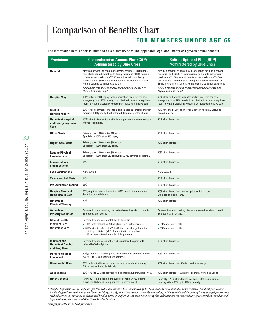#### **FOR MEMBERS UNDER AGE 65**

The information in this chart is intended as a summary only. The applicable legal documents will govern actual benefits.

| <b>Provisions</b>                                                  | <b>Comprehensive Access Plan (CAP)</b><br><b>Administered by Blue Cross</b>                                                                                                                                                                                                                                                                                                                          | <b>Retiree Optional Plan (ROP)</b><br><b>Administered by Blue Cross</b>                                                                                                                                                                                                                                                                                                                                                            |  |  |  |  |
|--------------------------------------------------------------------|------------------------------------------------------------------------------------------------------------------------------------------------------------------------------------------------------------------------------------------------------------------------------------------------------------------------------------------------------------------------------------------------------|------------------------------------------------------------------------------------------------------------------------------------------------------------------------------------------------------------------------------------------------------------------------------------------------------------------------------------------------------------------------------------------------------------------------------------|--|--|--|--|
| General                                                            | May use provider of choice or network providers; \$100 annual<br>deductible per individual, up to family maximum of \$300; annual<br>out-of-pocket maximum of \$750 per individual, up to family<br>maximum of \$1,500 (includes deductible); no lifetime maximum.<br>No pre-existing condition exclusions.<br>All plan benefits and out-of-pocket maximums are based on<br>Eligible Expenses only.* | May use provider of choice; will experience savings if network<br>doctor is used. \$400 annual individual deductible, up to family<br>maximum of \$1,200; annual out-of-pocket maximum of \$4,000<br>per individual (includes deductible), up to family maximum of<br>\$8,000; no lifetime maximum. No pre-existing condition exclusions.<br>All plan benefits and out-of-pocket maximums are based on<br>Eligible Expenses only.* |  |  |  |  |
| <b>Hospital Stay</b>                                               | 100% after a \$100 copay; preauthorization required for non-<br>emergency care, \$300 penalty if not obtained; covers semi-private<br>room (private if Medically Necessary); includes intensive care.                                                                                                                                                                                                | 70% after deductible; preauthorization required for non-<br>emergency care, \$250 penalty if not obtained; covers semi-private<br>room (private if Medically Necessary); includes intensive care.                                                                                                                                                                                                                                  |  |  |  |  |
| <b>Skilled</b><br><b>Nursing Facility</b>                          | 90% for semi-private room after 3 days in hospital; preauthorization<br>required, \$300 penalty if not obtained. Excludes custodial care.                                                                                                                                                                                                                                                            | 70% for semi-private room after 3 days in hospital. Excludes<br>custodial care.                                                                                                                                                                                                                                                                                                                                                    |  |  |  |  |
| <b>Outpatient Hospital</b><br>and Emergency Room<br>Care           | 100% after \$35 copay for medical emergency or outpatient surgery;<br>waived if admitted.                                                                                                                                                                                                                                                                                                            | 70% after deductible                                                                                                                                                                                                                                                                                                                                                                                                               |  |  |  |  |
| <b>Office Visits</b>                                               | Primary care - 100% after \$10 copay<br>Specialist - 100% after \$20 copay                                                                                                                                                                                                                                                                                                                           | 70% after deductible                                                                                                                                                                                                                                                                                                                                                                                                               |  |  |  |  |
| <b>Urgent Care Visits</b>                                          | Primary care - 100% after \$10 copay<br>Specialist - 100% after \$20 copay                                                                                                                                                                                                                                                                                                                           | 70% after deductible                                                                                                                                                                                                                                                                                                                                                                                                               |  |  |  |  |
| <b>Routine Physical</b><br><b>Examinations</b>                     | Primary care - 100% after \$10 copay<br>Specialist - 100% after \$20 copay; lab/X-ray covered separately.                                                                                                                                                                                                                                                                                            | 70% after deductible                                                                                                                                                                                                                                                                                                                                                                                                               |  |  |  |  |
| <b>Immunizations</b><br>and Injections                             | 95%                                                                                                                                                                                                                                                                                                                                                                                                  | 70% after deductible                                                                                                                                                                                                                                                                                                                                                                                                               |  |  |  |  |
| <b>Eye Examinations</b>                                            | Not covered                                                                                                                                                                                                                                                                                                                                                                                          | Not covered                                                                                                                                                                                                                                                                                                                                                                                                                        |  |  |  |  |
| <b>X-rays and Lab Tests</b>                                        | 90%                                                                                                                                                                                                                                                                                                                                                                                                  | 70% after deductible                                                                                                                                                                                                                                                                                                                                                                                                               |  |  |  |  |
| <b>Pre-Admission Testing</b>                                       | 95%                                                                                                                                                                                                                                                                                                                                                                                                  | 70% after deductible                                                                                                                                                                                                                                                                                                                                                                                                               |  |  |  |  |
| <b>Hospice Care and</b><br><b>Home Health Care</b>                 | 90%; requires prior authorization; \$300 penalty if not obtained.<br>Excludes custodial care.                                                                                                                                                                                                                                                                                                        | 70% after deductible; requires prior authorization.<br>Excludes custodial care.                                                                                                                                                                                                                                                                                                                                                    |  |  |  |  |
| <b>Outpatient</b><br><b>Physical Therapy</b>                       | 80%                                                                                                                                                                                                                                                                                                                                                                                                  | 70% after deductible                                                                                                                                                                                                                                                                                                                                                                                                               |  |  |  |  |
| <b>Outpatient</b><br><b>Prescription Drugs</b>                     | Covered by separate drug plan administered by Medco Health.<br>See page 28 for details.                                                                                                                                                                                                                                                                                                              | Covered by separate drug plan administered by Medco Health.<br>See page 28 for details.                                                                                                                                                                                                                                                                                                                                            |  |  |  |  |
| <b>Mental Health</b><br>Inpatient Care<br><b>Outpatient Care</b>   | Covered by separate Mental Health Program<br>■ 100% with referral by ValueOptions; 50% without referral.<br>S15/visit with referral by ValueOptions, no charge for initial<br>visit to psychiatrist (M.D.) for medication evaluation;<br>50% without referral; up to 30 visits per year.                                                                                                             | 70% after deductible<br>■ 70% after deductible                                                                                                                                                                                                                                                                                                                                                                                     |  |  |  |  |
| <b>Inpatient and</b><br><b>Outpatient Alcohol</b><br>and Drug Care | Covered by separate Alcohol and Drug Care Program with<br>referral by ValueOptions                                                                                                                                                                                                                                                                                                                   | 70% after deductible                                                                                                                                                                                                                                                                                                                                                                                                               |  |  |  |  |
| <b>Durable Medical</b><br><b>Equipment</b>                         | 80%; preauthorization required for purchase or cumulative rental<br>over \$1,000; \$300 penalty if not obtained.                                                                                                                                                                                                                                                                                     | 70% after deductible                                                                                                                                                                                                                                                                                                                                                                                                               |  |  |  |  |
| <b>Chiropractic Care</b>                                           | 80% for Medically Necessary care only; preauthorization by<br>ASHN required after initial visit.                                                                                                                                                                                                                                                                                                     | 70% after deductible, 10-visit maximum per year.                                                                                                                                                                                                                                                                                                                                                                                   |  |  |  |  |
| <b>Acupuncture</b>                                                 | 80% for up to 20 visits per year from licensed acupuncturist or M.D.                                                                                                                                                                                                                                                                                                                                 | 70% after deductible with prior approval from Blue Cross.                                                                                                                                                                                                                                                                                                                                                                          |  |  |  |  |
| <b>Other Benefits</b>                                              | Infertility - Paid according to type of benefit; \$7,000 lifetime<br>maximum. Balances from prior plans carry forward.                                                                                                                                                                                                                                                                               | Infertility - 70% after deductible, \$7,000 lifetime maximum.<br>Hearing aids - 70% up to \$2800 annually                                                                                                                                                                                                                                                                                                                          |  |  |  |  |

*\* "Eligible Expenses" are: (1) expenses for Covered Health Services that are covered by the plan; and (2) those that Blue Cross considers "Medically Necessary" for the diagnosis or treatment of an illness or injury; and (3) those that do not exceed the prevailing, or "Reasonable and Customary," rate charged for the same medical service in your area, as determined by Blue Cross of California. Any costs not meeting this definition are the responsibility of the member. For additional information or questions, call Blue Cross Member Services.*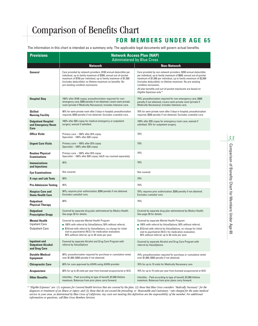#### **FOR MEMBERS UNDER AGE 65**

The information in this chart is intended as a summary only. The applicable legal documents will govern actual benefits.

| <b>Provisions</b>                                                       | <b>Network Access Plan (NAP)</b><br><b>Administered by Blue Cross</b>                                                                                                                                                                                                                                      |                                                                                                                                                                                                                                                                                                                                                                                               |  |  |  |  |  |  |
|-------------------------------------------------------------------------|------------------------------------------------------------------------------------------------------------------------------------------------------------------------------------------------------------------------------------------------------------------------------------------------------------|-----------------------------------------------------------------------------------------------------------------------------------------------------------------------------------------------------------------------------------------------------------------------------------------------------------------------------------------------------------------------------------------------|--|--|--|--|--|--|
|                                                                         | <b>Network</b>                                                                                                                                                                                                                                                                                             | <b>Non-Network</b>                                                                                                                                                                                                                                                                                                                                                                            |  |  |  |  |  |  |
| General                                                                 | Care provided by network providers. \$100 annual deductible per<br>individual, up to family maximum of \$300; annual out-of-pocket<br>maximum of \$750 per individual, up to family maximum of \$1,500<br>(includes deductible); no lifetime maximum on benefits. No<br>pre-existing condition exclusions. | Care provided by non-network providers. \$200 annual deductible<br>per individual, up to family maximum of \$600; annual out-of-pocket<br>maximum of \$1,000 per individual, up to family maximum of \$2,000<br>(includes deductible); no lifetime maximum. No pre-existing<br>condition exclusions.<br>All plan benefits and out-of-pocket maximums are based on<br>Eligible Expenses only.* |  |  |  |  |  |  |
| <b>Hospital Stay</b>                                                    | 100% after \$100 copay; preauthorization required for non-<br>emergency care, \$300 penalty if not obtained; covers semi-private<br>room (private if Medically Necessary); includes intensive care.                                                                                                        | 70%; preauthorization required for non-emergency care, \$300<br>penalty if not obtained; covers semi-private room (private if<br>Medically Necessary); includes intensive care.                                                                                                                                                                                                               |  |  |  |  |  |  |
| <b>Skilled</b><br><b>Nursing Facility</b>                               | 90% for semi-private room after 3 days in hospital; preauthorization<br>required, \$300 penalty if not obtained. Excludes custodial care.                                                                                                                                                                  | 70% for semi-private room after 3 days in hospital; preauthorization<br>required, \$300 penalty if not obtained. Excludes custodial care.                                                                                                                                                                                                                                                     |  |  |  |  |  |  |
| <b>Outpatient Hospital</b><br>and Emergency Room<br>Care                | 100% after \$35 copay for medical emergency or outpatient<br>surgery; waived if admitted.                                                                                                                                                                                                                  | 100% after \$35 copay for emergency room care, waived if<br>admitted; 70% for outpatient surgery.                                                                                                                                                                                                                                                                                             |  |  |  |  |  |  |
| <b>Office Visits</b>                                                    | Primary care - 100% after \$10 copay<br>Specialist - 100% after \$20 copay                                                                                                                                                                                                                                 | 70%                                                                                                                                                                                                                                                                                                                                                                                           |  |  |  |  |  |  |
| <b>Urgent Care Visits</b>                                               | Primary care - 100% after \$10 copay<br>Specialist - 100% after \$20 copay                                                                                                                                                                                                                                 | 70%                                                                                                                                                                                                                                                                                                                                                                                           |  |  |  |  |  |  |
| <b>Routine Physical</b><br><b>Examinations</b>                          | Primary care - 100% after \$10 copay<br>Specialist - 100% after \$20 copay; lab/X-ray covered separately.                                                                                                                                                                                                  | 70%                                                                                                                                                                                                                                                                                                                                                                                           |  |  |  |  |  |  |
| <b>Immunizations</b><br>and Injections                                  | 95%                                                                                                                                                                                                                                                                                                        | 70%                                                                                                                                                                                                                                                                                                                                                                                           |  |  |  |  |  |  |
| <b>Eye Examinations</b>                                                 | Not covered                                                                                                                                                                                                                                                                                                | Not covered                                                                                                                                                                                                                                                                                                                                                                                   |  |  |  |  |  |  |
| <b>X-rays and Lab Tests</b>                                             | 90%                                                                                                                                                                                                                                                                                                        | 70%                                                                                                                                                                                                                                                                                                                                                                                           |  |  |  |  |  |  |
| <b>Pre-Admission Testing</b>                                            | 95%                                                                                                                                                                                                                                                                                                        | 70%                                                                                                                                                                                                                                                                                                                                                                                           |  |  |  |  |  |  |
| <b>Hospice Care and</b><br><b>Home Health Care</b>                      | 90%; requires prior authorization; \$300 penalty if not obtained.<br>Excludes custodial care.                                                                                                                                                                                                              | 70%; requires prior authorization; \$300 penalty if not obtained.<br>Excludes custodial care.                                                                                                                                                                                                                                                                                                 |  |  |  |  |  |  |
| <b>Outpatient</b><br><b>Physical Therapy</b>                            | 80%                                                                                                                                                                                                                                                                                                        | 70%                                                                                                                                                                                                                                                                                                                                                                                           |  |  |  |  |  |  |
| <b>Outpatient</b><br><b>Prescription Drugs</b>                          | Covered by separate drug plan administered by Medco Health.<br>See page 28 for details.                                                                                                                                                                                                                    | Covered by separate drug plan administered by Medco Health.<br>See page 28 for details.                                                                                                                                                                                                                                                                                                       |  |  |  |  |  |  |
| <b>Mental Health</b><br><b>Inpatient Care</b><br><b>Outpatient Care</b> | Covered by separate Mental Health Program<br>■ 100% with referral by ValueOptions; 50% without referral.<br>S15/visit with referral by ValueOptions, no charge for initial<br>visit to psychiatrist (M.D.) for medication evaluation;<br>50% without referral; up to 30 visits per year.                   | Covered by separate Mental Health Program<br>■ 100% with referral by ValueOptions; 50% without referral.<br>S15/visit with referral by ValueOptions, no charge for initial<br>visit to psychiatrist (M.D.) for medication evaluation;<br>50% without referral; up to 30 visits per year.                                                                                                      |  |  |  |  |  |  |
| <b>Inpatient and</b><br><b>Outpatient Alcohol</b><br>and Drug Care      | Covered by separate Alcohol and Drug Care Program with<br>referral by ValueOptions                                                                                                                                                                                                                         | Covered by separate Alcohol and Drug Care Program with<br>referral by ValueOptions                                                                                                                                                                                                                                                                                                            |  |  |  |  |  |  |
| <b>Durable Medical</b><br><b>Equipment</b>                              | 80%; preauthorization required for purchase or cumulative rental<br>over \$1,000; \$300 penalty if not obtained.                                                                                                                                                                                           | 70%; preauthorization required for purchase or cumulative rental<br>over \$1,000; \$300 penalty if not obtained.                                                                                                                                                                                                                                                                              |  |  |  |  |  |  |
| <b>Chiropractic Care</b>                                                | 80% for care approved by ASHN using ASHN provider                                                                                                                                                                                                                                                          | 70% for up to 15 visits for Medically Necessary care                                                                                                                                                                                                                                                                                                                                          |  |  |  |  |  |  |
| <b>Acupuncture</b>                                                      | 80% for up to 20 visits per year from licensed acupuncturist or M.D.                                                                                                                                                                                                                                       | 70% for up to 15 visits per year from licensed acupuncturist or M.D.                                                                                                                                                                                                                                                                                                                          |  |  |  |  |  |  |
| <b>Other Benefits</b>                                                   | Infertility – Paid according to type of benefit; \$7,000 lifetime<br>maximum. Balances from prior plans carry forward.                                                                                                                                                                                     | Infertility – Paid according to type of benefit; \$7,000 lifetime<br>maximum. Balances from prior plans carry forward.                                                                                                                                                                                                                                                                        |  |  |  |  |  |  |

*\* "Eligible Expenses" are: (1) expenses for Covered Health Services that are covered by the plan; (2) those that Blue Cross considers "Medically Necessary" for the diagnosis or treatment of an illness or injury; and (3) those that do not exceed the prevailing, or "Reasonable and Customary," rate charged for the same medical service in your area, as determined by Blue Cross of California. Any costs not meeting this definition are the responsibility of the member. For additional information or questions, call Blue Cross Members Services.*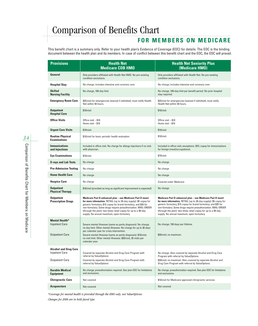#### **FOR MEMBERS ON MEDICARE**

This benefit chart is a summary only. Refer to your health plan's Evidence of Coverage (EOC) for details. The EOC is the binding document between the health plan and its members. In case of conflict between this benefit chart and the EOC, the EOC will prevail.

| <b>Provisions</b>                                                               | <b>Health Net</b><br><b>Medicare COB HMO</b>                                                                                                                                                                                                                                                                                                                                        | <b>Health Net Seniority Plus</b><br>(Medicare HMO)                                                                                                                                                                                                                                                                                                                                  |  |  |  |  |
|---------------------------------------------------------------------------------|-------------------------------------------------------------------------------------------------------------------------------------------------------------------------------------------------------------------------------------------------------------------------------------------------------------------------------------------------------------------------------------|-------------------------------------------------------------------------------------------------------------------------------------------------------------------------------------------------------------------------------------------------------------------------------------------------------------------------------------------------------------------------------------|--|--|--|--|
| General                                                                         | Only providers affiliated with Health Net HMO. No pre-existing<br>condition exclusions.                                                                                                                                                                                                                                                                                             | Only providers affiliated with Health Net. No pre-existing<br>condition exclusions.                                                                                                                                                                                                                                                                                                 |  |  |  |  |
| <b>Hospital Stay</b>                                                            | No charge; includes intensive and coronary care                                                                                                                                                                                                                                                                                                                                     | No charge; includes intensive and coronary care                                                                                                                                                                                                                                                                                                                                     |  |  |  |  |
| <b>Skilled</b><br><b>Nursing Facility</b>                                       | No charge, 100-day limit                                                                                                                                                                                                                                                                                                                                                            | No charge, 100-day limit per benefit period. No prior hospital<br>stay required.                                                                                                                                                                                                                                                                                                    |  |  |  |  |
| <b>Emergency Room Care</b>                                                      | \$25/visit for emergencies (waived if admitted); must notify Health<br>Net within 48 hours.                                                                                                                                                                                                                                                                                         | \$25/visit for emergencies (waived if admitted); must notify<br>Health Net within 48 hours.                                                                                                                                                                                                                                                                                         |  |  |  |  |
| <b>Outpatient</b><br><b>Hospital Care</b>                                       | \$10/visit                                                                                                                                                                                                                                                                                                                                                                          | \$10/vist                                                                                                                                                                                                                                                                                                                                                                           |  |  |  |  |
| <b>Office Visits</b>                                                            | Office visit - \$10<br>Home visit $-$ \$10                                                                                                                                                                                                                                                                                                                                          | Office visit - \$10<br>Home visit $- $10$                                                                                                                                                                                                                                                                                                                                           |  |  |  |  |
| <b>Urgent Care Visits</b>                                                       | \$10/visit                                                                                                                                                                                                                                                                                                                                                                          | \$10/visit                                                                                                                                                                                                                                                                                                                                                                          |  |  |  |  |
| <b>Routine Physical</b><br><b>Examinations</b>                                  | \$10/visit for basic periodic health evaluation                                                                                                                                                                                                                                                                                                                                     | \$10/visit                                                                                                                                                                                                                                                                                                                                                                          |  |  |  |  |
| <b>Immunizations</b><br>and Injections                                          | Included in office visit. No charge for allergy injections if no visit.<br>with physician.                                                                                                                                                                                                                                                                                          | Included in office visit; exceptions: 20% copay for immunizations<br>for foreign travel/occupational.                                                                                                                                                                                                                                                                               |  |  |  |  |
| <b>Eye Examinations</b>                                                         | \$10/vist                                                                                                                                                                                                                                                                                                                                                                           | \$10/visit                                                                                                                                                                                                                                                                                                                                                                          |  |  |  |  |
| <b>X-rays and Lab Tests</b>                                                     | No charge                                                                                                                                                                                                                                                                                                                                                                           | No charge                                                                                                                                                                                                                                                                                                                                                                           |  |  |  |  |
| <b>Pre-Admission Testing</b>                                                    | No charge                                                                                                                                                                                                                                                                                                                                                                           | No charge                                                                                                                                                                                                                                                                                                                                                                           |  |  |  |  |
| <b>Home Health Care</b>                                                         | No charge                                                                                                                                                                                                                                                                                                                                                                           | No charge                                                                                                                                                                                                                                                                                                                                                                           |  |  |  |  |
| <b>Hospice Care</b>                                                             | No charge<br><b>Covered under Medicare</b>                                                                                                                                                                                                                                                                                                                                          |                                                                                                                                                                                                                                                                                                                                                                                     |  |  |  |  |
| <b>Outpatient</b><br><b>Physical Therapy</b>                                    | \$10/visit (provided as long as significant improvement is expected)                                                                                                                                                                                                                                                                                                                | No charge                                                                                                                                                                                                                                                                                                                                                                           |  |  |  |  |
| <b>Outpatient</b><br><b>Prescription Drugs</b>                                  | Medicare Part D enhanced plan - see Medicare Part D insert<br>for more information. RETAIL (up to 30-day supply): \$5 copay for<br>generic formulary, \$15 copay for brand formulary, and \$35 for<br>non-formulary. Some drugs require preauthorization. MAIL-ORDER<br>(through the plan): two times retail copay for up to a 90-day<br>supply. No annual maximum; open formulary. | Medicare Part D enhanced plan - see Medicare Part D insert<br>for more information. RETAIL (up to 30-day supply): \$5 copay for<br>generic formulary, \$15 copay for brand formulary, and \$35 for<br>non-formulary. Some drugs require preauthorization. MAIL-ORDER<br>(through the plan): two times retail copay for up to a 90-day<br>supply. No annual maximum; open formulary. |  |  |  |  |
| <b>Mental Health*</b><br><b>Inpatient Care</b><br><b>Outpatient Care</b>        | Severe mental illnesses (same as parity diagnosis): No charge;<br>no day limit. Other mental illnesses: No charge for up to 30 days<br>per calendar year for crisis intervention.<br>Severe mental illnesses (same as parity diagnosis): \$10/visit;<br>no visit limit. Other mental illnesses: \$20/visit, 20 visits per<br>calendar year.                                         | No charge; 190 days per lifetime.<br>\$20/visit; no maximum.                                                                                                                                                                                                                                                                                                                        |  |  |  |  |
| <b>Alcohol and Drug Care</b><br><b>Inpatient Care</b><br><b>Outpatient Care</b> | Covered by separate Alcohol and Drug Care Program with<br>referral by ValueOptions<br>Covered by separate Alcohol and Drug Care Program with<br>referral by ValueOptions                                                                                                                                                                                                            | No charge. Also covered by separate Alcohol and Drug Care<br>Program with referral by ValueOptions<br>\$20/visit; no maximum. Also covered by separate Alcohol and<br>Drug Care Program with referral by ValueOptions.                                                                                                                                                              |  |  |  |  |
| <b>Durable Medical</b><br><b>Equipment</b>                                      | No charge; preauthorization required. See plan EOC for limitations<br>and exclusions.                                                                                                                                                                                                                                                                                               | No charge; preauthorization required. See plan EOC for limitations<br>and exclusions.                                                                                                                                                                                                                                                                                               |  |  |  |  |
| <b>Chiropractic Care</b>                                                        | Not covered                                                                                                                                                                                                                                                                                                                                                                         | \$10/visit for Medicare-approved chiropractic services                                                                                                                                                                                                                                                                                                                              |  |  |  |  |
| <b>Acupuncture</b>                                                              | Not covered                                                                                                                                                                                                                                                                                                                                                                         | Not covered                                                                                                                                                                                                                                                                                                                                                                         |  |  |  |  |

*\*Coverage for mental health is provided through the HMO only, not ValueOptions Changes for 2006 are in bold-faced type*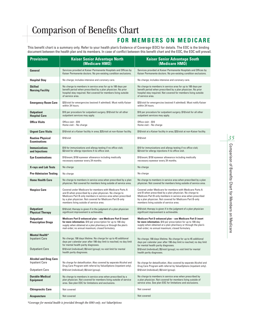#### **FOR MEMBERS ON MEDICARE**

This benefit chart is a summary only. Refer to your health plan's Evidence of Coverage (EOC) for details. The EOC is the binding document between the health plan and its members. In case of conflict between this benefit chart and the EOC, the EOC will prevail.

| <b>Provisions</b>                                                               | <b>Kaiser Senior Advantage North</b><br>(Medicare HMO)                                                                                                                                                                                                                                      | <b>Kaiser Senior Advantage South</b><br>(Medicare HMO)                                                                                                                                                                                                                                      |  |  |  |  |  |
|---------------------------------------------------------------------------------|---------------------------------------------------------------------------------------------------------------------------------------------------------------------------------------------------------------------------------------------------------------------------------------------|---------------------------------------------------------------------------------------------------------------------------------------------------------------------------------------------------------------------------------------------------------------------------------------------|--|--|--|--|--|
| General                                                                         | Services provided at Kaiser Permanente Hospitals and Offices by<br>Kaiser Permanente doctors. No pre-existing condition exclusions.                                                                                                                                                         | Services provided at Kaiser Permanente Hospitals and Offices by<br>Kaiser Permanente doctors. No pre-existing condition exclusions.                                                                                                                                                         |  |  |  |  |  |
| Hospital Stay                                                                   | No charge; includes intensive and coronary care.                                                                                                                                                                                                                                            | No charge; includes intensive and coronary care.                                                                                                                                                                                                                                            |  |  |  |  |  |
| <b>Skilled</b><br><b>Nursing Facility</b>                                       | No charge to members in service area for up to 100 days per<br>benefit period when prescribed by a plan physician. No prior<br>hospital stay required. Not covered for members living outside<br>of service area.                                                                           | No charge to members in service area for up to 100 days per<br>benefit period when prescribed by a plan physician. No prior<br>hospital stay required. Not covered for members living outside<br>of service area.                                                                           |  |  |  |  |  |
| <b>Emergency Room Care</b>                                                      | \$25/visit for emergencies (waived if admitted). Must notify Kaiser<br>\$25/visit for emergencies (waived if admitted). Must notify Kaiser<br>within 24 hours.<br>within 24 hours.                                                                                                          |                                                                                                                                                                                                                                                                                             |  |  |  |  |  |
| <b>Outpatient</b><br><b>Hospital Care</b>                                       | \$10 per procedure for outpatient surgery. \$10/visit for all other<br>outpatient services may apply.                                                                                                                                                                                       | \$10 per procedure for outpatient surgery. \$10/visit for all other<br>outpatient services may apply.                                                                                                                                                                                       |  |  |  |  |  |
| Office Visits                                                                   | Office visit - \$10<br>Home visit - No charge                                                                                                                                                                                                                                               | Office visit - \$10<br>Home visit - No charge                                                                                                                                                                                                                                               |  |  |  |  |  |
| <b>Urgent Care Visits</b>                                                       | \$10/visit at a Kaiser facility in area; \$25/visit at non-Kaiser facility.                                                                                                                                                                                                                 | \$10/visit at a Kaiser facility in area; \$25/visit at non-Kaiser facility.                                                                                                                                                                                                                 |  |  |  |  |  |
| <b>Routine Physical</b><br><b>Examinations</b>                                  | \$10/visit                                                                                                                                                                                                                                                                                  | \$10/visit                                                                                                                                                                                                                                                                                  |  |  |  |  |  |
| <b>Immunizations</b><br>and Injections                                          | \$10 for immunizations and allergy testing if no office visit;<br>\$3/visit for allergy injections if no office visit.                                                                                                                                                                      | \$10 for immunizations and allergy testing if no office visit;<br>\$3/visit for allergy injections if no office visit.                                                                                                                                                                      |  |  |  |  |  |
| <b>Eye Examinations</b>                                                         | \$10/exam; \$150 eyewear allowance including medically<br>necessary eyewear every 24 months.                                                                                                                                                                                                | \$10/exam; \$150 eyewear allowance including medically<br>necessary eyewear every 24 months.                                                                                                                                                                                                |  |  |  |  |  |
| <b>X-rays and Lab Tests</b>                                                     | No charge                                                                                                                                                                                                                                                                                   | No charge                                                                                                                                                                                                                                                                                   |  |  |  |  |  |
| <b>Pre-Admission Testing</b>                                                    | No charge                                                                                                                                                                                                                                                                                   | No charge                                                                                                                                                                                                                                                                                   |  |  |  |  |  |
| <b>Home Health Care</b>                                                         | No charge to members in service area when prescribed by a plan<br>physician. Not covered for members living outside of service area.                                                                                                                                                        | No charge to members in service area when prescribed by a plan<br>physician. Not covered for members living outside of service area.                                                                                                                                                        |  |  |  |  |  |
| <b>Hospice Care</b>                                                             | Covered under Medicare for members with Medicare Parts A<br>and B when prescribed by a plan physician. No charge to<br>Medicare Part B-only members in service area when prescribed<br>by a plan physician. Not covered for Medicare Part B-only<br>members living outside of service area. | Covered under Medicare for members with Medicare Parts A<br>and B when prescribed by a plan physician. No charge to<br>Medicare Part B-only members in service area when prescribed<br>by a plan physician. Not covered for Medicare Part B-only<br>members living outside of service area. |  |  |  |  |  |
| <b>Outpatient</b><br><b>Physical Therapy</b>                                    | \$10/visit; therapy is given if in the judgment of a plan physician<br>significant improvement is achievable.                                                                                                                                                                               | \$10/visit; therapy is given if in the judgment of a plan physician<br>significant improvement is achievable.                                                                                                                                                                               |  |  |  |  |  |
| <b>Outpatient</b><br><b>Prescription Drugs</b>                                  | Medicare Part D enhanced plan – see Medicare Part D insert<br>for more information. \$10 per prescription for up to 100-day<br>supply when obtained at a plan pharmacy or through the plan's<br>mail-order; no annual maximum; closed formulary.                                            | Medicare Part D enhanced plan - see Medicare Part D insert<br>for more information. \$10 per prescription for up to 100-day<br>supply when obtained at a plan pharmacy or through the plan's<br>mail-order; no annual maximum; closed formulary.                                            |  |  |  |  |  |
| Mental Health*<br><b>Inpatient Care</b><br><b>Outpatient Care</b>               | No charge; 190 days lifetime. No charge for up to 45 additional<br>days per calendar year after 190-day limit is reached; no day limit<br>for mental health parity diagnoses.<br>\$10/visit (individual); \$5/visit (group); no visit limit for mental<br>health parity diagnoses.          | No charge; 190 days lifetime. No charge for up to 45 additional<br>days per calendar year after 190-day limit is reached; no day limit<br>for mental health parity diagnoses.<br>\$10/visit (individual); \$5/visit (group); no visit limit for mental<br>health parity diagnoses.          |  |  |  |  |  |
| <b>Alcohol and Drug Care</b><br><b>Inpatient Care</b><br><b>Outpatient Care</b> | No charge for detoxification. Also covered by separate Alcohol and<br>Drug Care Program with referral by ValueOptions (inpatient only).<br>\$10/visit (individual); \$5/visit (group).                                                                                                      | No charge for detoxification. Also covered by separate Alcohol and<br>Drug Care Program with referral by ValueOptions (inpatient only).<br>\$10/visit (individual); \$5/visit (group).                                                                                                      |  |  |  |  |  |
| <b>Durable Medical</b><br><b>Equipment</b>                                      | No charge to members in service area when prescribed by a<br>plan physician. Not covered for members living outside of service<br>area. See plan EOC for limitations and exclusions.                                                                                                        | No charge to members in service area when prescribed by<br>a plan physician. Not covered for members living outside of<br>service area. See plan EOC for limitations and exclusions.                                                                                                        |  |  |  |  |  |
| <b>Chiropractic Care</b>                                                        | Not covered                                                                                                                                                                                                                                                                                 | Not covered                                                                                                                                                                                                                                                                                 |  |  |  |  |  |
| Acupuncture                                                                     | Not covered                                                                                                                                                                                                                                                                                 | Not covered                                                                                                                                                                                                                                                                                 |  |  |  |  |  |

*\*Coverage for mental health is provided through the HMO only, not ValueOptions*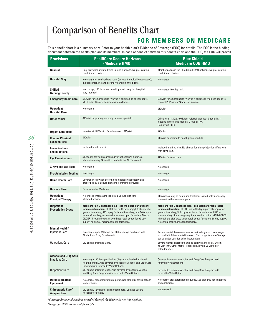#### **FOR MEMBERS ON MEDICARE**

This benefit chart is a summary only. Refer to your health plan's Evidence of Coverage (EOC) for details. The EOC is the binding document between the health plan and its members. In case of conflict between this benefit chart and the EOC, the EOC will prevail.

| <b>Provisions</b>                                     | <b>PacifiCare Secure Horizons</b><br>(Medicare HMO)                                                                                                                                                                                                                                                                                                                               | <b>Blue Shield</b><br><b>Medicare COB HMO</b>                                                                                                                                                                                                                                                                                                                                       |
|-------------------------------------------------------|-----------------------------------------------------------------------------------------------------------------------------------------------------------------------------------------------------------------------------------------------------------------------------------------------------------------------------------------------------------------------------------|-------------------------------------------------------------------------------------------------------------------------------------------------------------------------------------------------------------------------------------------------------------------------------------------------------------------------------------------------------------------------------------|
| General                                               | Only providers affiliated with Secure Horizons. No pre-existing<br>condition exclusions.                                                                                                                                                                                                                                                                                          | Members access the Blue Shield HMO network. No pre-existing<br>condition exclusions.                                                                                                                                                                                                                                                                                                |
| <b>Hospital Stay</b>                                  | No charge for semi-private room (private if medically necessary);<br>includes intensive and coronary care; unlimited days.                                                                                                                                                                                                                                                        | No charge                                                                                                                                                                                                                                                                                                                                                                           |
| <b>Skilled</b><br><b>Nursing Facility</b>             | No charge, 100 days per benefit period. No prior hospital<br>stay required.                                                                                                                                                                                                                                                                                                       | No charge, 100-day limit.                                                                                                                                                                                                                                                                                                                                                           |
| <b>Emergency Room Care</b>                            | \$50/visit for emergencies (waived if admitted as an inpatient).<br>Must notify Secure Horizons within 48 hours.                                                                                                                                                                                                                                                                  | \$25/visit for emergencies (waived if admitted). Member needs to<br>contact PCP within 24 hours of service.                                                                                                                                                                                                                                                                         |
| <b>Outpatient</b><br><b>Hospital Care</b>             | No charge                                                                                                                                                                                                                                                                                                                                                                         | \$10/visit                                                                                                                                                                                                                                                                                                                                                                          |
| <b>Office Visits</b>                                  | \$10/visit for primary care physician or specialist                                                                                                                                                                                                                                                                                                                               | Office visit - \$10; \$30 without referral (Access+ Specialist) -<br>must be in the same Medical Group or IPA.<br>Home visit $-$ \$10                                                                                                                                                                                                                                               |
| <b>Urgent Care Visits</b>                             | In-network: \$10/visit    Qut-of-network: \$25/visit                                                                                                                                                                                                                                                                                                                              | \$10/visit                                                                                                                                                                                                                                                                                                                                                                          |
| <b>Routine Physical</b><br><b>Examinations</b>        | \$10/visit                                                                                                                                                                                                                                                                                                                                                                        | \$10/visit according to health plan schedule                                                                                                                                                                                                                                                                                                                                        |
| <b>Immunizations</b><br>and Injections                | Included in office visit                                                                                                                                                                                                                                                                                                                                                          | Included in office visit. No charge for allergy injections if no visit<br>with physician.                                                                                                                                                                                                                                                                                           |
| <b>Eye Examinations</b>                               | \$10/copay for vision screening/refractions; \$75 materials<br>allowance every 24 months. Contacts are NOT covered.                                                                                                                                                                                                                                                               | \$10/visit for refraction                                                                                                                                                                                                                                                                                                                                                           |
| <b>X-rays and Lab Tests</b>                           | No charge                                                                                                                                                                                                                                                                                                                                                                         | No charge                                                                                                                                                                                                                                                                                                                                                                           |
| <b>Pre-Admission Testing</b>                          | No charge                                                                                                                                                                                                                                                                                                                                                                         | No charge                                                                                                                                                                                                                                                                                                                                                                           |
| <b>Home Health Care</b>                               | Covered in full when determined medically necessary and<br>prescribed by a Secure Horizons-contracted provider                                                                                                                                                                                                                                                                    | No charge                                                                                                                                                                                                                                                                                                                                                                           |
| <b>Hospice Care</b>                                   | <b>Covered under Medicare</b>                                                                                                                                                                                                                                                                                                                                                     | No charge                                                                                                                                                                                                                                                                                                                                                                           |
| <b>Outpatient</b><br><b>Physical Therapy</b>          | No charge when authorized by a Secure Horizons<br>affiliated provider                                                                                                                                                                                                                                                                                                             | \$10/visit; as long as continued treatment is medically necessary<br>pursuant to the treatment plan.                                                                                                                                                                                                                                                                                |
| <b>Outpatient</b><br><b>Prescription Drugs</b>        | Medicare Part D enhanced plan - see Medicare Part D insert<br>for more information. RETAIL (up to 30-day supply): \$10 copay for<br>generic formulary, \$20 copay for brand formulary, and \$40 copay<br>for non-formulary; no annual maximum; open formulary. MAIL-<br>ORDER (through the plan): two times retail copay for 90-day<br>supply; no annual maximum; open formulary. | Medicare Part D enhanced plan - see Medicare Part D insert<br>for more information. RETAIL (up to 30-day supply): \$5 copay for<br>generic formulary, \$15 copay for brand formulary, and \$35 for<br>non-formulary. Some drugs require preauthorization. MAIL-ORDER<br>(through the plan): two times retail copay for up to a 90-day supply.<br>No annual maximum; open formulary. |
| <b>Mental Health*</b><br><b>Inpatient Care</b>        | No charge; up to 190 days per lifetime (days combined with<br>Alcohol and Drug Care benefit).                                                                                                                                                                                                                                                                                     | Severe mental illnesses (same as parity diagnosis): No charge;<br>no day limit. Other mental illnesses: No charge for up to 30 days<br>per calendar year for crisis intervention.                                                                                                                                                                                                   |
| <b>Outpatient Care</b>                                | \$10 copay; unlimited visits.                                                                                                                                                                                                                                                                                                                                                     | Severe mental illnesses (same as parity diagnosis): \$10/visit;<br>no visit limit. Other mental illnesses: \$20/visit, 20 visits per<br>calendar year.                                                                                                                                                                                                                              |
| <b>Alcohol and Drug Care</b><br><b>Inpatient Care</b> | No charge 190 days per lifetime (days combined with Mental<br>Health benefit). Also covered by separate Alcohol and Drug Care<br>Program with referral by ValueOptions.                                                                                                                                                                                                           | Covered by separate Alcohol and Drug Care Program with<br>referral by ValueOptions                                                                                                                                                                                                                                                                                                  |
| <b>Outpatient Care</b>                                | \$10 copay; unlimited visits. Also covered by separate Alcohol<br>and Drug Care Program with referral by ValueOptions.                                                                                                                                                                                                                                                            | Covered by separate Alcohol and Drug Care Program with<br>referral by ValueOptions                                                                                                                                                                                                                                                                                                  |
| <b>Durable Medical</b><br><b>Equipment</b>            | No charge; preauthorization required. See plan EOC for limitations<br>and exclusions.                                                                                                                                                                                                                                                                                             | No charge; preauthorization required. See plan EOC for limitations<br>and exclusions.                                                                                                                                                                                                                                                                                               |
| <b>Chiropractic Care/</b><br><b>Acupuncture</b>       | \$10 copay, 12 visits for chiropractic care. Contact Secure<br>Horizons for details.                                                                                                                                                                                                                                                                                              | Not covered                                                                                                                                                                                                                                                                                                                                                                         |

*\*Coverage for mental health is provided through the HMO only, not ValueOptions Changes for 2006 are in bold-faced type*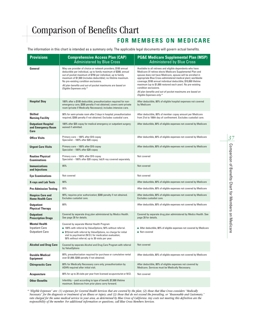#### **FOR MEMBERS ON MEDICARE**

The information in this chart is intended as a summary only. The applicable legal documents will govern actual benefits.

| <b>Provisions</b>                                                       | <b>Comprehensive Access Plan (CAP)</b><br><b>Administered by Blue Cross</b>                                                                                                                                                                                                                                                                                                                          | <b>PG&amp;E Medicare Supplemental Plan (MSP)</b><br><b>Administered by Blue Cross</b>                                                                                                                                                                                                                                                                                                                                                                                                                     |  |  |  |
|-------------------------------------------------------------------------|------------------------------------------------------------------------------------------------------------------------------------------------------------------------------------------------------------------------------------------------------------------------------------------------------------------------------------------------------------------------------------------------------|-----------------------------------------------------------------------------------------------------------------------------------------------------------------------------------------------------------------------------------------------------------------------------------------------------------------------------------------------------------------------------------------------------------------------------------------------------------------------------------------------------------|--|--|--|
| General                                                                 | May use provider of choice or network providers; \$100 annual<br>deductible per individual, up to family maximum of \$300; annual<br>out-of-pocket maximum of \$750 per individual, up to family<br>maximum of \$1,500 (includes deductible); no lifetime maximum.<br>No pre-existing condition exclusions.<br>All plan benefits and out-of-pocket maximums are based on<br>Eligible Expenses only.* | Available to all retirees and eligible dependents who have<br>Medicare (if retiree elects Medicare Supplemental Plan and<br>spouse does not have Medicare, spouse will be enrolled in<br>appropriate Blue Cross-administered medical plan); worldwide<br>coverage; \$100 annual individual deductible; \$10,000 lifetime<br>maximum (up to \$1,000 restored each year). No pre-existing<br>condition exclusions.<br>All plan benefits and out-of-pocket maximums are based on<br>Eligible Expenses only.* |  |  |  |
| <b>Hospital Stay</b>                                                    | 100% after a \$100 deductible; preauthorization required for non-<br>emergency care, \$300 penalty if not obtained; covers semi-private<br>room (private if Medically Necessary); includes intensive care.                                                                                                                                                                                           | After deductible, 80% of eligible hospital expenses not covered<br>by Medicare                                                                                                                                                                                                                                                                                                                                                                                                                            |  |  |  |
| <b>Skilled</b><br><b>Nursing Facility</b>                               | 90% for semi-private room after 3 days in hospital; preauthorization<br>required, \$300 penalty if not obtained. Excludes custodial care.                                                                                                                                                                                                                                                            | After deductible, 80% of member copay amount per Medicare<br>from 21st to 100th day of confinement. Excludes custodial care.                                                                                                                                                                                                                                                                                                                                                                              |  |  |  |
| <b>Outpatient Hospital</b><br>and Emergency Room<br>Care                | 100% after \$35 copay for medical emergency or outpatient surgery;<br>waived if admitted.                                                                                                                                                                                                                                                                                                            | After deductible, 80% of eligible expenses not covered by Medicare                                                                                                                                                                                                                                                                                                                                                                                                                                        |  |  |  |
| <b>Office Visits</b>                                                    | Primary care - 100% after \$10 copay<br>Specialist - 100% after \$20 copay                                                                                                                                                                                                                                                                                                                           | After deductible, 80% of eligible expenses not covered by Medicare                                                                                                                                                                                                                                                                                                                                                                                                                                        |  |  |  |
| <b>Urgent Care Visits</b>                                               | Primary care - 100% after \$10 copay<br>Specialist - 100% after \$20 copay                                                                                                                                                                                                                                                                                                                           | After deductible, 80% of eligible expenses not covered by Medicare                                                                                                                                                                                                                                                                                                                                                                                                                                        |  |  |  |
| <b>Routine Physical</b><br><b>Examinations</b>                          | Primary care - 100% after \$10 copay<br>Specialist - 100% after \$20 copay; lab/X-ray covered separately.                                                                                                                                                                                                                                                                                            | Not covered                                                                                                                                                                                                                                                                                                                                                                                                                                                                                               |  |  |  |
| <b>Immunizations</b><br>and Injections                                  | 95%                                                                                                                                                                                                                                                                                                                                                                                                  | Not covered                                                                                                                                                                                                                                                                                                                                                                                                                                                                                               |  |  |  |
| <b>Eye Examinations</b>                                                 | Not covered                                                                                                                                                                                                                                                                                                                                                                                          | Not covered                                                                                                                                                                                                                                                                                                                                                                                                                                                                                               |  |  |  |
| <b>X-rays and Lab Tests</b>                                             | 90%                                                                                                                                                                                                                                                                                                                                                                                                  | After deductible, 80% of eligible expenses not covered by Medicare                                                                                                                                                                                                                                                                                                                                                                                                                                        |  |  |  |
| <b>Pre-Admission Testing</b>                                            | 95%                                                                                                                                                                                                                                                                                                                                                                                                  | After deductible, 80% of eligible expenses not covered by Medicare                                                                                                                                                                                                                                                                                                                                                                                                                                        |  |  |  |
| <b>Hospice Care and</b><br><b>Home Health Care</b>                      | 90%; requires prior authorization; \$300 penalty if not obtained.<br>Excludes custodial care.                                                                                                                                                                                                                                                                                                        | After deductible, 80% of eligible expenses not covered by Medicare<br>Excludes custodial care.                                                                                                                                                                                                                                                                                                                                                                                                            |  |  |  |
| <b>Outpatient</b><br><b>Physical Therapy</b>                            | 80%                                                                                                                                                                                                                                                                                                                                                                                                  | After deductible, 80% of eligible expenses not covered by Medicare                                                                                                                                                                                                                                                                                                                                                                                                                                        |  |  |  |
| <b>Outpatient</b><br><b>Prescription Drugs</b>                          | Covered by separate drug plan administered by Medco Health.<br>See page 28 for details.                                                                                                                                                                                                                                                                                                              | Covered by separate drug plan administered by Medco Health. See<br>page 28 for details.                                                                                                                                                                                                                                                                                                                                                                                                                   |  |  |  |
| <b>Mental Health</b><br><b>Inpatient Care</b><br><b>Outpatient Care</b> | Covered by separate Mental Health Program<br>■ 100% with referral by ValueOptions; 50% without referral.<br>S15/visit with referral by ValueOptions, no charge for initial<br>visit to psychiatrist (M.D.) for medication evaluation;<br>50% without referral; up to 30 visits per year.                                                                                                             | After deductible, 80% of eligible expenses not covered by Medicare<br>Not covered                                                                                                                                                                                                                                                                                                                                                                                                                         |  |  |  |
| <b>Alcohol and Drug Care</b>                                            | Covered by separate Alcohol and Drug Care Program with referral<br>by ValueOptions                                                                                                                                                                                                                                                                                                                   | Not covered                                                                                                                                                                                                                                                                                                                                                                                                                                                                                               |  |  |  |
| <b>Durable Medical</b><br><b>Equipment</b>                              | 80%; preauthorization required for purchase or cumulative rental<br>over \$1,000; \$300 penalty if not obtained.                                                                                                                                                                                                                                                                                     | After deductible, 80% of eligible expenses not covered by Medicare                                                                                                                                                                                                                                                                                                                                                                                                                                        |  |  |  |
| <b>Chiropractic Care</b>                                                | 80% for Medically Necessary care only; preauthorization by<br>ASHN required after initial visit.                                                                                                                                                                                                                                                                                                     | After deductible, 80% of eligible expenses not covered by<br>Medicare. Services must be Medically Necessary.                                                                                                                                                                                                                                                                                                                                                                                              |  |  |  |
| <b>Acupuncture</b>                                                      | 80% for up to 20 visits per year from licensed acupuncturist or M.D.                                                                                                                                                                                                                                                                                                                                 | Not covered                                                                                                                                                                                                                                                                                                                                                                                                                                                                                               |  |  |  |
| <b>Other Benefits</b>                                                   | Infertility - paid according to type of benefit; \$7,000 lifetime<br>maximum. Balances from prior plans carry forward.                                                                                                                                                                                                                                                                               |                                                                                                                                                                                                                                                                                                                                                                                                                                                                                                           |  |  |  |

*\* "Eligible Expenses" are: (1) expenses for Covered Health Services that are covered by the plan; (2) those that Blue Cross considers "Medically Necessary" for the diagnosis or treatment of an illness or injury; and (3) those that do not exceed the prevailing, or "Reasonable and Customary," rate charged for the same medical service in your area, as determined by Blue Cross of California. Any costs not meeting this definition are the responsibility of the member. For additional information or questions, call Blue Cross Members Services.*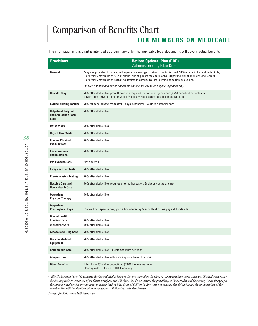#### **FOR MEMBERS ON MEDICARE**

The information in this chart is intended as a summary only. The applicable legal documents will govern actual benefits.

| <b>Provisions</b>                                                       | <b>Retiree Optional Plan (ROP)</b><br><b>Administered by Blue Cross</b>                                                                                                                                                                                                                                                             |
|-------------------------------------------------------------------------|-------------------------------------------------------------------------------------------------------------------------------------------------------------------------------------------------------------------------------------------------------------------------------------------------------------------------------------|
| General                                                                 | May use provider of choice; will experience savings if network doctor is used. \$400 annual individual deductible,<br>up to family maximum of \$1,200; annual out-of-pocket maximum of \$4,000 per individual (includes deductible),<br>up to family maximum of \$8,000; no lifetime maximum. No pre-existing condition exclusions. |
|                                                                         | All plan benefits and out-of-pocket maximums are based on Eligible Expenses only.*                                                                                                                                                                                                                                                  |
| <b>Hospital Stay</b>                                                    | 70% after deductible; preauthorization required for non-emergency care, \$250 penalty if not obtained;<br>covers semi-private room (private if Medically Necessary); includes intensive care.                                                                                                                                       |
| <b>Skilled Nursing Facility</b>                                         | 70% for semi-private room after 3 days in hospital. Excludes custodial care.                                                                                                                                                                                                                                                        |
| <b>Outpatient Hospital</b><br>and Emergency Room<br>Care                | 70% after deductible                                                                                                                                                                                                                                                                                                                |
| <b>Office Visits</b>                                                    | 70% after deductible                                                                                                                                                                                                                                                                                                                |
| <b>Urgent Care Visits</b>                                               | 70% after deductible                                                                                                                                                                                                                                                                                                                |
| <b>Routine Physical</b><br><b>Examinations</b>                          | 70% after deductible                                                                                                                                                                                                                                                                                                                |
| <b>Immunizations</b><br>and Injections                                  | 70% after deductible                                                                                                                                                                                                                                                                                                                |
| <b>Eye Examinations</b>                                                 | Not covered                                                                                                                                                                                                                                                                                                                         |
| <b>X-rays and Lab Tests</b>                                             | 70% after deductible                                                                                                                                                                                                                                                                                                                |
| <b>Pre-Admission Testing</b>                                            | 70% after deductible                                                                                                                                                                                                                                                                                                                |
| <b>Hospice Care and</b><br><b>Home Health Care</b>                      | 70% after deductible; requires prior authorization. Excludes custodial care.                                                                                                                                                                                                                                                        |
| <b>Outpatient</b><br><b>Physical Therapy</b>                            | 70% after deductible                                                                                                                                                                                                                                                                                                                |
| <b>Outpatient</b><br><b>Prescription Drugs</b>                          | Covered by separate drug plan administered by Medco Health. See page 28 for details.                                                                                                                                                                                                                                                |
| <b>Mental Health</b><br><b>Inpatient Care</b><br><b>Outpatient Care</b> | 70% after deductible<br>70% after deductible                                                                                                                                                                                                                                                                                        |
| <b>Alcohol and Drug Care</b>                                            | 70% after deductible                                                                                                                                                                                                                                                                                                                |
| <b>Durable Medical</b><br><b>Equipment</b>                              | 70% after deductible                                                                                                                                                                                                                                                                                                                |
| <b>Chiropractic Care</b>                                                | 70% after deductible, 10-visit maximum per year.                                                                                                                                                                                                                                                                                    |
| <b>Acupuncture</b>                                                      | 70% after deductible with prior approval from Blue Cross                                                                                                                                                                                                                                                                            |
| <b>Other Benefits</b>                                                   | Infertility - 70% after deductible; \$7,000 lifetime maximum.<br>Hearing aids - 70% up to \$2800 annually                                                                                                                                                                                                                           |

*\* "Eligible Expenses" are: (1) expenses for Covered Health Services that are covered by the plan; (2) those that Blue Cross considers "Medically Necessary" for the diagnosis or treatment of an illness or injury; and (3) those that do not exceed the prevailing, or "Reasonable and Customary," rate charged for the same medical service in your area, as determined by Blue Cross of California. Any costs not meeting this definition are the responsibility of the member. For additional information or questions, call Blue Cross Member Services.*

*Changes for 2006 are in bold-faced type*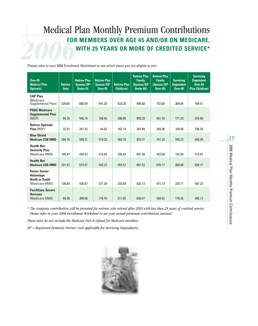### **2006**<br>Plasse refer to your 2006 Encollect Medical Plan Monthly Premium Contributions **FOR MEMBERS OVER AGE 65 AND/OR ON MEDICARE, WITH 25 YEARS OR MORE OF CREDITED SERVICE\***

Please refer to your 2006 Enrollment Worksheet to see which plans you are eligible to join.

| $0$ ver-65<br><b>Medical Plan</b><br><b>Option(s)</b>                               | <b>Retiree</b><br><b>Only</b> | <b>Retiree Plus</b><br>Spouse/DP<br><b>Under 65</b> | <b>Retiree Plus</b><br>Spouse/DP<br><b>Over 65</b> | <b>Retiree Plus</b><br>Child(ren) | <b>Retiree Plus</b><br><b>Family</b><br>(Spouse/DP<br>Under 65) | <b>Retiree Plus</b><br><b>Family</b><br>(Spouse/DP<br><b>Over 65)</b> | <b>Surviving</b><br><b>Dependent</b><br>$Over-65$ | <b>Surviving</b><br><b>Dependent</b><br><b>Over-65</b><br><b>Plus Child(ren)</b> |
|-------------------------------------------------------------------------------------|-------------------------------|-----------------------------------------------------|----------------------------------------------------|-----------------------------------|-----------------------------------------------------------------|-----------------------------------------------------------------------|---------------------------------------------------|----------------------------------------------------------------------------------|
| <b>CAP Plan</b><br>(Medicare)<br>Supplemental Plan)                                 | 220.60                        | 683.09                                              | 441.20                                             | 533.20                            | 995.68                                                          | 753.80                                                                | 309.84                                            | 709.51                                                                           |
| <b>PG&amp;E Medicare</b><br><b>Supplemental Plan</b><br>(MSP)                       | 84.25                         | 546.74                                              | 168.50                                             | 396.85                            | 859.33                                                          | 481.10                                                                | 171.32                                            | 570.99                                                                           |
| <b>Retiree Optional</b><br>Plan (ROP)                                               | 22.01                         | 247.35                                              | 44.02                                              | 162.14                            | 387.48                                                          | 269.36                                                                | 109.08                                            | 336.28                                                                           |
| <b>Blue Shield</b><br><b>Medicare COB HMO</b>                                       | 259.16                        | 599.31                                              | 518.32                                             | 482.16                            | 822.31                                                          | 741.32                                                                | 346.23                                            | 656.30                                                                           |
| <b>Health Net</b><br><b>Seniority Plus</b><br>(Medicare HMO)                        | 105.47                        | 458.43                                              | 210.94                                             | 338.43                            | 691.38                                                          | 443.90                                                                | 192.54                                            | 512.57                                                                           |
| <b>Health Net</b><br><b>Medicare COB HMO</b>                                        | 221.61                        | 574.57                                              | 443.22                                             | 454.57                            | 807.52                                                          | 676.17                                                                | 308.68                                            | 628.71                                                                           |
| <b>Kaiser Senior</b><br><b>Advantage</b><br><b>North or South</b><br>(Medicare HMO) | 138.64                        | 438.67                                              | 277.28                                             | 333.09                            | 633.13                                                          | 471.73                                                                | 225.71                                            | 507.23                                                                           |
| <b>PacifiCare Secure</b><br><b>Horizons</b><br>(Medicare HMO)                       | 89.35                         | 388.66                                              | 178.70                                             | 311.03                            | 648.47                                                          | 438.52                                                                | 176.42                                            | 485.17                                                                           |

*\* The company contribution will be prorated for retirees who retired after 2003 with less than 25 years of credited service. Please refer to your 2006 Enrollment Worksheet to see your actual premium contribution amount.*

*These rates do not include the Medicare Part B refund for Medicare members.* 

*DP = Registered Domestic Partner (not applicable for Surviving Dependents)*

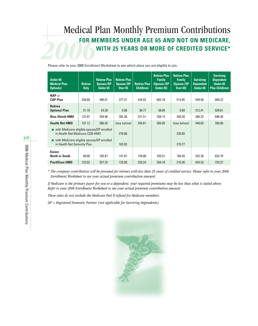### **2006**<br>Plasse refer to your 2006 Enrollm Medical Plan Monthly Premium Contributions **FOR MEMBERS UNDER AGE 65 AND NOT ON MEDICARE, WITH 25 YEARS OR MORE OF CREDITED SERVICE\***

Please refer to your 2006 Enrollment Worksheet to see which plans you are eligible to join.

| Under-65<br><b>Medical Plan</b><br><b>Option(s)</b>                         | <b>Retiree</b><br><b>Only</b> | <b>Retiree Plus</b><br><b>Spouse/DP</b><br><b>Under 65</b> | <b>Retiree Plus</b><br>Spouse/DP<br><b>Over 65</b> | <b>Retiree Plus</b><br>Child(ren) | <b>Retiree Plus</b><br><b>Family</b><br>(Spouse/DP<br>Under 65) | <b>Retiree Plus</b><br><b>Family</b><br>(Spouse/DP<br><b>Over 65)</b> | <b>Surviving</b><br><b>Dependent</b><br>Under-65 | <b>Surviving</b><br><b>Dependent</b><br>Under-65<br><b>Plus Child(ren)</b> |
|-----------------------------------------------------------------------------|-------------------------------|------------------------------------------------------------|----------------------------------------------------|-----------------------------------|-----------------------------------------------------------------|-----------------------------------------------------------------------|--------------------------------------------------|----------------------------------------------------------------------------|
| <b>NAP</b> or<br><b>CAP Plan</b>                                            | 236.68                        | 496.01                                                     | 377.51                                             | 424.82                            | 683.78                                                          | 514.05                                                                | 549.56                                           | 949.22                                                                     |
| <b>Retiree</b><br><b>Optional Plan</b>                                      | 21.10                         | 43.28                                                      | 0.00                                               | 36.77                             | 58.60                                                           | 0.00                                                                  | 312.41                                           | 539.61                                                                     |
| <b>Blue Shield HMO</b>                                                      | 122.97                        | 259.96                                                     | 302.36                                             | 221.51                            | 358.14                                                          | 349.30                                                                | 386.33                                           | 696.40                                                                     |
| <b>Health Net HMO</b>                                                       | 137.12                        | 286.92                                                     | (see below)                                        | 245.61                            | 395.05                                                          | (see below)                                                           | 440.03                                           | 760.06                                                                     |
| with Medicare-eligible spouse/DP enrolled<br>in Health Net Medicare COB HMO |                               | 278.96                                                     |                                                    |                                   | 335.85                                                          |                                                                       |                                                  |                                                                            |
| ■ with Medicare-eligible spouse/DP enrolled<br>in Health Net Seniority Plus |                               | 162.82                                                     |                                                    |                                   | 219.77                                                          |                                                                       |                                                  |                                                                            |
| <b>Kaiser</b><br>North or South                                             | 89.00                         | 185.87                                                     | 147.87                                             | 159.00                            | 255.51                                                          | 166.26                                                                | 352.26                                           | 633.79                                                                     |
| <b>PacifiCare HMO</b>                                                       | 123.02                        | 257.32                                                     | 132.60                                             | 220.24                            | 354.16                                                          | 216.36                                                                | 424.53                                           | 733.27                                                                     |

*\* The company contribution will be prorated for retirees with less than 25 years of credited service. Please refer to your 2006 Enrollment Worksheet to see your actual premium contribution amount.*

*If Medicare is the primary payor for you or a dependent, your required premiums may be less than what is stated above. Refer to your 2006 Enrollment Worksheet to see your actual premium contribution amount.*

*These rates do not include the Medicare Part B refund for Medicare members.*

*DP = Registered Domestic Partner (not applicable for Surviving Dependents)*

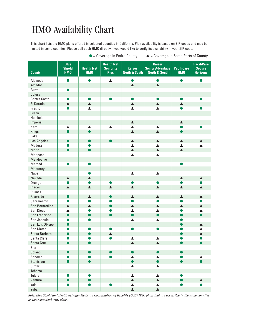### HMO Availability Chart

This chart lists the HMO plans offered in selected counties in California. Plan availability is based on ZIP codes and may be limited in some counties. Please call each HMO directly if you would like to verify its availability in your ZIP code.

| <b>County</b>     | <b>Blue</b><br><b>Shield</b><br><b>HMO</b> | <b>Health Net</b><br><b>HMO</b> | <b>Health Net</b><br><b>Seniority</b><br><b>Plus</b> | <b>Kaiser</b><br><b>North &amp; South</b> | <b>Kaiser</b><br><b>Senior Advantage</b><br><b>North &amp; South</b> | <b>PacifiCare</b><br>HMO | <b>PacifiCare</b><br><b>Secure</b><br><b>Horizons</b> |
|-------------------|--------------------------------------------|---------------------------------|------------------------------------------------------|-------------------------------------------|----------------------------------------------------------------------|--------------------------|-------------------------------------------------------|
| Alameda           | ●                                          | ●                               | $\blacktriangle$                                     | O                                         | $\bullet$                                                            |                          |                                                       |
| Amador            |                                            |                                 |                                                      | $\blacktriangle$                          | $\blacktriangle$                                                     |                          |                                                       |
| <b>Butte</b>      |                                            |                                 |                                                      |                                           |                                                                      |                          |                                                       |
| Colusa            |                                            |                                 |                                                      |                                           |                                                                      |                          |                                                       |
| Contra Costa      | $\bullet$                                  |                                 |                                                      |                                           |                                                                      |                          |                                                       |
| El Dorado         | $\blacktriangle$                           | $\blacktriangle$                |                                                      | $\blacktriangle$                          | $\blacktriangle$                                                     | $\blacktriangle$         |                                                       |
| Fresno            |                                            | $\blacktriangle$                |                                                      | $\blacktriangle$                          | $\blacktriangle$                                                     |                          |                                                       |
| Glenn             |                                            |                                 |                                                      |                                           |                                                                      |                          |                                                       |
| Humboldt          |                                            |                                 |                                                      |                                           |                                                                      |                          |                                                       |
| Imperial          |                                            |                                 |                                                      | $\blacktriangle$                          |                                                                      | $\blacktriangle$         |                                                       |
| Kern              | $\blacktriangle$                           | $\blacktriangle$                | $\blacktriangle$                                     | $\blacktriangle$                          | $\blacktriangle$                                                     | ●                        |                                                       |
| Kings             | $\bullet$                                  | $\bullet$                       |                                                      | $\blacktriangle$                          | $\blacktriangle$                                                     | $\bullet$                |                                                       |
| Lake              |                                            |                                 |                                                      |                                           |                                                                      |                          |                                                       |
| Los Angeles       | $\bullet$                                  | $\bullet$                       |                                                      | $\blacktriangle$                          | $\blacktriangle$                                                     | $\blacktriangle$         | ▲                                                     |
| Madera            |                                            | $\bullet$                       |                                                      | $\blacktriangle$                          | $\blacktriangle$                                                     | $\blacktriangle$         | ▲                                                     |
| Marin             |                                            | $\bullet$                       |                                                      | $\blacktriangle$                          | $\blacktriangle$                                                     | $\blacktriangle$         |                                                       |
| Mariposa          |                                            |                                 |                                                      | $\blacktriangle$                          | $\blacktriangle$                                                     |                          |                                                       |
| Mendocino         |                                            |                                 |                                                      |                                           |                                                                      |                          |                                                       |
| Merced            |                                            | $\bullet$                       |                                                      |                                           |                                                                      |                          |                                                       |
| Monterey          |                                            |                                 |                                                      |                                           |                                                                      |                          |                                                       |
| Napa              |                                            | $\bullet$                       |                                                      | $\blacktriangle$                          | $\blacktriangle$                                                     |                          |                                                       |
| Nevada            | $\blacktriangle$                           | $\blacktriangle$                |                                                      |                                           |                                                                      | $\blacktriangle$         | $\blacktriangle$                                      |
| Orange            |                                            | $\bullet$                       | $\bullet$                                            | ●                                         | ●                                                                    |                          |                                                       |
| Placer            | $\blacktriangle$                           | $\blacktriangle$                | $\blacktriangle$                                     | $\blacktriangle$                          | $\blacktriangle$                                                     | $\blacktriangle$         | $\blacktriangle$                                      |
| Plumas            |                                            |                                 |                                                      |                                           |                                                                      |                          |                                                       |
| Riverside         | $\bullet$                                  | $\blacktriangle$                | $\bullet$                                            | $\blacktriangle$                          | $\blacktriangle$                                                     | $\blacktriangle$         | $\blacktriangle$                                      |
| Sacramento        | ●                                          |                                 |                                                      | ●                                         |                                                                      |                          |                                                       |
| San Bernardino    | $\blacktriangle$                           | $\blacktriangle$                | $\bullet$                                            | $\blacktriangle$                          | $\blacktriangle$                                                     | $\blacktriangle$         | $\blacktriangle$                                      |
| San Diego         | $\blacktriangle$                           | ●                               |                                                      | $\blacktriangle$                          | $\blacktriangle$                                                     |                          | $\blacktriangle$                                      |
| San Francisco     | $\bullet$                                  | $\bullet$                       | $\bullet$                                            | $\bullet$                                 | $\bullet$                                                            |                          | $\bullet$                                             |
| San Joaquin       |                                            |                                 |                                                      | $\blacktriangle$                          | $\blacktriangle$                                                     |                          |                                                       |
| San Luis Obispo   | $\bullet$                                  |                                 |                                                      |                                           |                                                                      |                          | $\blacktriangle$                                      |
| San Mateo         |                                            |                                 |                                                      |                                           |                                                                      |                          |                                                       |
| Santa Barbara     |                                            |                                 | $\blacktriangle$                                     |                                           |                                                                      |                          | $\blacktriangle$                                      |
| Santa Clara       |                                            |                                 |                                                      | $\blacktriangle$                          | $\blacktriangle$                                                     |                          |                                                       |
| Santa Cruz        |                                            | $\bullet$                       |                                                      | $\blacktriangle$                          | $\blacktriangle$                                                     | $\bullet$                | $\bullet$                                             |
| Sierra            |                                            |                                 |                                                      |                                           |                                                                      |                          |                                                       |
| Solano            |                                            | ●                               |                                                      |                                           | $\bullet$                                                            |                          |                                                       |
| Sonoma            |                                            |                                 |                                                      | ▲                                         | ▲                                                                    |                          | ▲                                                     |
| <b>Stanislaus</b> | $\bullet$                                  | $\bullet$                       |                                                      | D                                         | $\bullet$                                                            | ●                        |                                                       |
| Sutter            |                                            |                                 |                                                      | $\blacktriangle$                          | $\blacktriangle$                                                     |                          |                                                       |
| Tehama            |                                            |                                 |                                                      |                                           |                                                                      |                          |                                                       |
| Tulare            |                                            |                                 |                                                      | $\blacktriangle$                          | $\blacktriangle$                                                     |                          |                                                       |
| Ventura           |                                            | $\bullet$                       |                                                      | $\blacktriangle$                          | $\blacktriangle$                                                     | $\bullet$                | $\blacktriangle$                                      |
| Yolo              |                                            | ●                               |                                                      | $\blacktriangle$                          | $\blacktriangle$                                                     | $\bullet$                |                                                       |
| Yuba              |                                            |                                 |                                                      | $\blacktriangle$                          | $\blacktriangle$                                                     |                          |                                                       |

● = Coverage in Entire County ▲ = Coverage in Some Parts of County

*Note: Blue Shield and Health Net offer Medicare Coordination of Benefits (COB) HMO plans that are accessible in the same counties as their standard HMO plans.*